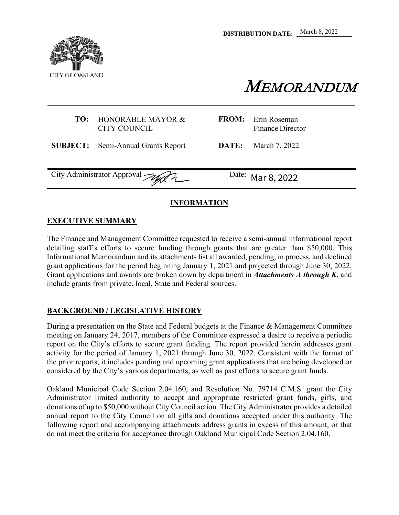

MEMORANDUM

## **TO:** HONORABLE MAYOR & CITY COUNCIL

**SUBJECT:** Semi-Annual Grants Report **DATE:** March 7, 2022

Finance Director

**FROM:** Erin Roseman

City Administrator Approval  $\mathcal{A}$   $\mathcal{A}$  Date:

Mar 8, 2022

# **INFORMATION**

## **EXECUTIVE SUMMARY**

The Finance and Management Committee requested to receive a semi-annual informational report detailing staff's efforts to secure funding through grants that are greater than \$50,000. This Informational Memorandum and its attachments list all awarded, pending, in process, and declined grant applications for the period beginning January 1, 2021 and projected through June 30, 2022. Grant applications and awards are broken down by department in *Attachments A through K*, and include grants from private, local, State and Federal sources.

# **BACKGROUND / LEGISLATIVE HISTORY**

During a presentation on the State and Federal budgets at the Finance & Management Committee meeting on January 24, 2017, members of the Committee expressed a desire to receive a periodic report on the City's efforts to secure grant funding. The report provided herein addresses grant activity for the period of January 1, 2021 through June 30, 2022. Consistent with the format of the prior reports, it includes pending and upcoming grant applications that are being developed or considered by the City's various departments, as well as past efforts to secure grant funds.

Oakland Municipal Code Section 2.04.160, and Resolution No. 79714 C.M.S. grant the City Administrator limited authority to accept and appropriate restricted grant funds, gifts, and donations of up to \$50,000 without City Council action. The City Administrator provides a detailed annual report to the City Council on all gifts and donations accepted under this authority. The following report and accompanying attachments address grants in excess of this amount, or that do not meet the criteria for acceptance through Oakland Municipal Code Section 2.04.160.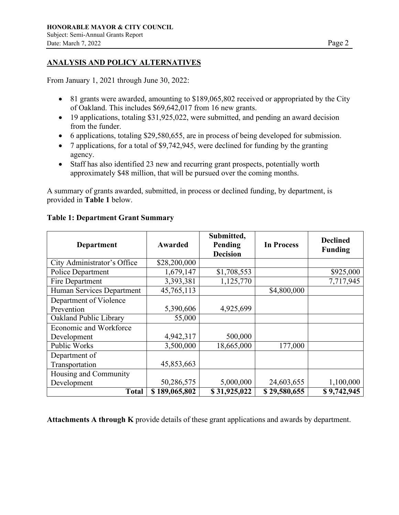## **ANALYSIS AND POLICY ALTERNATIVES**

From January 1, 2021 through June 30, 2022:

- 81 grants were awarded, amounting to \$189,065,802 received or appropriated by the City of Oakland. This includes \$69,642,017 from 16 new grants.
- 19 applications, totaling \$31,925,022, were submitted, and pending an award decision from the funder.
- 6 applications, totaling \$29,580,655, are in process of being developed for submission.
- 7 applications, for a total of \$9,742,945, were declined for funding by the granting agency.
- Staff has also identified 23 new and recurring grant prospects, potentially worth approximately \$48 million, that will be pursued over the coming months.

A summary of grants awarded, submitted, in process or declined funding, by department, is provided in **Table 1** below.

| <b>Department</b>             | <b>Awarded</b> | Submitted,<br>Pending<br><b>Decision</b> | <b>In Process</b> | <b>Declined</b><br><b>Funding</b> |
|-------------------------------|----------------|------------------------------------------|-------------------|-----------------------------------|
| City Administrator's Office   | \$28,200,000   |                                          |                   |                                   |
| Police Department             | 1,679,147      | \$1,708,553                              |                   | \$925,000                         |
| Fire Department               | 3,393,381      | 1,125,770                                |                   | 7,717,945                         |
| Human Services Department     | 45,765,113     |                                          | \$4,800,000       |                                   |
| Department of Violence        |                |                                          |                   |                                   |
| Prevention                    | 5,390,606      | 4,925,699                                |                   |                                   |
| Oakland Public Library        | 55,000         |                                          |                   |                                   |
| <b>Economic and Workforce</b> |                |                                          |                   |                                   |
| Development                   | 4,942,317      | 500,000                                  |                   |                                   |
| Public Works                  | 3,500,000      | 18,665,000                               | 177,000           |                                   |
| Department of                 |                |                                          |                   |                                   |
| Transportation                | 45,853,663     |                                          |                   |                                   |
| Housing and Community         |                |                                          |                   |                                   |
| Development                   | 50,286,575     | 5,000,000                                | 24,603,655        | 1,100,000                         |
| <b>Total</b>                  | \$189,065,802  | \$31,925,022                             | \$29,580,655      | \$9,742,945                       |

#### **Table 1: Department Grant Summary**

**Attachments A through K** provide details of these grant applications and awards by department.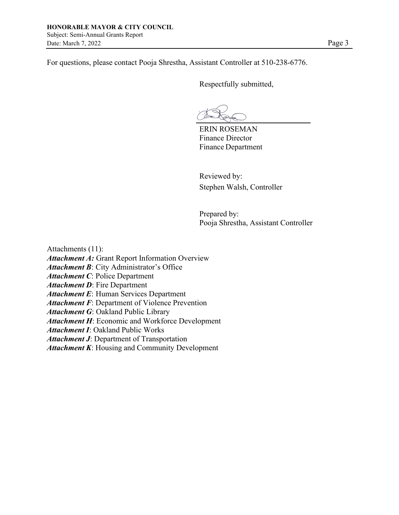For questions, please contact Pooja Shrestha, Assistant Controller at 510-238-6776.

Respectfully submitted,

ERIN ROSEMAN Finance Director Finance Department

Reviewed by: Stephen Walsh, Controller

Prepared by: Pooja Shrestha, Assistant Controller

Attachments (11):

*Attachment A:* Grant Report Information Overview

*Attachment B*: City Administrator's Office

*Attachment C*: Police Department

*Attachment D*: Fire Department

*Attachment E*: Human Services Department

*Attachment F*: Department of Violence Prevention

*Attachment G*: Oakland Public Library

*Attachment H*: Economic and Workforce Development

*Attachment I*: Oakland Public Works

*Attachment J*: Department of Transportation

*Attachment K*: Housing and Community Development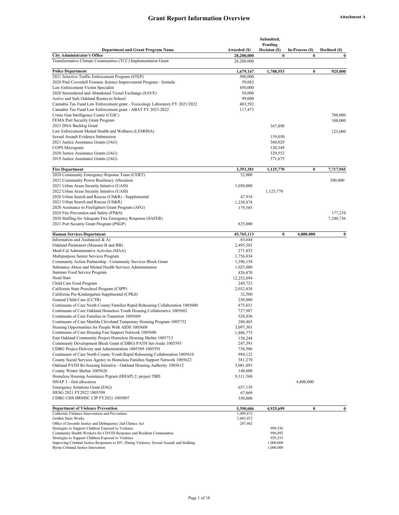#### Grant Report Information Overview **Attachment A**

|                                                                                                                                                |                            | Submitted,                |                             |                           |
|------------------------------------------------------------------------------------------------------------------------------------------------|----------------------------|---------------------------|-----------------------------|---------------------------|
|                                                                                                                                                |                            | Pending                   |                             |                           |
| <b>Department and Grant Program Name</b><br><b>City Administrator's Office</b>                                                                 | Awarded (\$)<br>28,200,000 | Decision (\$)<br>$\bf{0}$ | In-Process (\$)<br>$\bf{0}$ | Declined (\$)<br>$\bf{0}$ |
| Transformative Climate Communities (TCC) Implementation Grant                                                                                  | 28,200,000                 |                           |                             |                           |
|                                                                                                                                                |                            |                           |                             |                           |
| <b>Police Department</b>                                                                                                                       | 1,679,147                  | 1,708,553                 | $\bf{0}$                    | 925,000                   |
| 2021 Selective Traffic Enforcement Program (STEP)<br>2020 Paul Coverdell Forensic Science Improvement Program - formula                        | 500,000<br>59,082          |                           |                             |                           |
| Law Enforcement Victim Specialist                                                                                                              | 450,000                    |                           |                             |                           |
| 2020 Surrendered and Abandoned Vessel Exchange (SAVE)                                                                                          | 50,000                     |                           |                             |                           |
| Active and Safe Oakland Routes to School                                                                                                       | 99,000                     |                           |                             |                           |
| Cannabis Tax Fund Law Enforcement grant - Toxicology Laboratory FY 2021/2022                                                                   | 403,592                    |                           |                             |                           |
| Cannabis Tax Fund Law Enforcement grant - ABAT FY 2021/2022                                                                                    | 117,473                    |                           |                             |                           |
| Crime Gun Intelligence Center (CGIC)                                                                                                           |                            |                           |                             | 700,000                   |
| FEMA Port Security Grant Program                                                                                                               |                            |                           |                             | 100,000                   |
| 2021 DNA Backlog Grant                                                                                                                         |                            | 367,898                   |                             |                           |
| Law Enforcement Mental Health and Wellness (LEMHSA)                                                                                            |                            |                           |                             | 125,000                   |
| Sexual Assault Evidence Submission                                                                                                             |                            | 159,050                   |                             |                           |
| 2021 Justice Assistance Grants (JAG)                                                                                                           |                            | 360,029                   |                             |                           |
| COPS Microgrant                                                                                                                                |                            | 120,349                   |                             |                           |
| 2020 Justice Assistance Grants (JAG)                                                                                                           |                            | 329,552                   |                             |                           |
| 2019 Justice Assistance Grants (JAG)                                                                                                           |                            | 371,675                   |                             |                           |
| <b>Fire Department</b>                                                                                                                         | 3,393,381                  | 1,125,770                 | $\bf{0}$                    | 7,717,945                 |
| 2020 Community Emergency Reponse Team (CERT)                                                                                                   | 52,000                     |                           |                             |                           |
| 2021 Community Power Resiliency Allocation                                                                                                     |                            |                           |                             | 300,000                   |
| 2021 Urban Areas Security Intiative (UASI)                                                                                                     | 1,050,000                  |                           |                             |                           |
| 2022 Urban Areas Security Intiative (UASI)                                                                                                     |                            | 1,125,770                 |                             |                           |
| 2020 Urban Search and Rescue (US&R) - Supplemental                                                                                             | 47,918                     |                           |                             |                           |
| 2021 Urban Search and Rescue (US&R)                                                                                                            | 1,238,878                  |                           |                             |                           |
| 2020 Assistance to Firefighters Grant Program (AFG)                                                                                            | 179,585                    |                           |                             |                           |
| 2020 Fire Prevention and Safety (FP&S)                                                                                                         |                            |                           |                             | 177,210                   |
| 2020 Staffing for Adequate Fire Emergency Response (SAFER)                                                                                     |                            |                           |                             | 7,240,736                 |
| 2021 Port Security Grant Program (PSGP)                                                                                                        | 825,000                    |                           |                             |                           |
| <b>Human Services Department</b>                                                                                                               | 45,765,113                 | $\bf{0}$                  | 4,800,000                   | $\bf{0}$                  |
| Information and Assitance(I & A)                                                                                                               | 63,644                     |                           |                             |                           |
| Oakland Paratransit (Measure B and BB)                                                                                                         | 2,495,503                  |                           |                             |                           |
| Medi-Cal Administrative Activites (MAA)                                                                                                        | 271,852                    |                           |                             |                           |
| Multipurpose Senior Services Program                                                                                                           | 1,756,834                  |                           |                             |                           |
| Community Action Partnership - Community Services Block Grant                                                                                  | 1,396,158                  |                           |                             |                           |
| Substance Abuse and Mental Health Services Administration                                                                                      | 1,025,000                  |                           |                             |                           |
| Summer Food Service Program<br>Head Start                                                                                                      | 426,870                    |                           |                             |                           |
| Child Care Food Program                                                                                                                        | 12,252,694<br>249,723      |                           |                             |                           |
| California State Preschool Program (CSPP)                                                                                                      | 2,032,838                  |                           |                             |                           |
| California Pre-Kindergarten Supplmental (CPKS)                                                                                                 | 32,500                     |                           |                             |                           |
| General Child Care (CCTR)                                                                                                                      | 250,000                    |                           |                             |                           |
| Continuum of Care North County Families Rapid Rehousing Collaboration 1005600                                                                  | 875,651                    |                           |                             |                           |
| Continuum of Care Oakland Homeless Youth Housing Collaborative 1005602                                                                         | 727,987                    |                           |                             |                           |
| Continuum of Care Families in Transition 1005604                                                                                               | 528,036                    |                           |                             |                           |
| Continuum of Care Matilda Cleveland Temporary Housing Program 1005732                                                                          | 280,465                    |                           |                             |                           |
| Housing Opportunities for People With AIDS 1005608                                                                                             | 3,097,301                  |                           |                             |                           |
| Continuum of Care Housing Fast Support Network 1005606                                                                                         | 1,886,775                  |                           |                             |                           |
| East Oakland Community Project Homeless Housing Shelter 1005713                                                                                | 158,244                    |                           |                             |                           |
| Community Development Block Grant (CDBG) PATH Set-Aside 1005593                                                                                | 247,391                    |                           |                             |                           |
| CDBG Project Delivery and Administration 1005589 1005591                                                                                       | 736,586                    |                           |                             |                           |
| Continuum of Care North County Youth Rapid Rehousing Collaboration 1005610                                                                     | 984,122                    |                           |                             |                           |
| County Social Services Agency to Homeless Families Support Network 1005622                                                                     | 381,270                    |                           |                             |                           |
| Oakland PATH Re-housing Initiative - Oakland Housing Authority 1005612<br>County Winter Shelter 1005626                                        | 3,081,093<br>140,000       |                           |                             |                           |
| Homeless Housing Assistance Prgram (HHAP) 2, project TBD                                                                                       | 9,311,568                  |                           |                             |                           |
| HHAP 3 - first allocation                                                                                                                      |                            |                           | 4,800,000                   |                           |
| Emergency Solutions Grant (ESG)                                                                                                                | 657,139                    |                           |                             |                           |
| HESG 2021 FY2022 1005598                                                                                                                       | 67,869                     |                           |                             |                           |
| CDBG CHS HRMSC CIP FY2021 1005807                                                                                                              | 350,000                    |                           |                             |                           |
|                                                                                                                                                |                            |                           |                             |                           |
| <b>Department of Violence Prevention</b><br>California Violence Intervention and Prevention                                                    | 5,390,606<br>1,499,672     | 4,925,699                 | $\boldsymbol{0}$            | $\bf{0}$                  |
| Golden State Works                                                                                                                             | 3,603,472                  |                           |                             |                           |
| Office of Juvenile Justice and Delinquency 2nd Chance Act                                                                                      | 287,462                    |                           |                             |                           |
| Strategies to Support Children Exposed to Violence                                                                                             |                            | 999,556                   |                             |                           |
| Community Health Workers for COVID Response and Resilient Communities                                                                          |                            | 996,892                   |                             |                           |
| Strategies to Support Children Exposed to Violence<br>Improving Criminal Justice Responses to DV, Dating Violence, Sexual Assault and Stalking |                            | 929,251<br>1,000,000      |                             |                           |
| Byrne Criminal Justice Innovation                                                                                                              |                            | 1,000,000                 |                             |                           |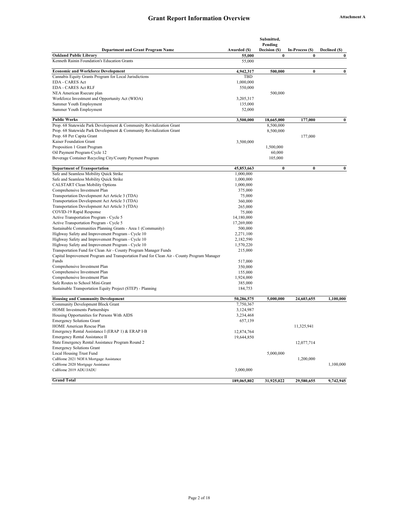|                                                                                            |                        | Submitted,    |                 |               |
|--------------------------------------------------------------------------------------------|------------------------|---------------|-----------------|---------------|
|                                                                                            |                        | Pending       |                 |               |
| <b>Department and Grant Program Name</b>                                                   | Awarded (\$)           | Decision (\$) | In-Process (\$) | Declined (\$) |
| <b>Oakland Public Library</b>                                                              | 55,000                 | 0             | $\bf{0}$        | $\bf{0}$      |
| Kenneth Rainin Foundation's Education Grants                                               | 55,000                 |               |                 |               |
| <b>Economic and Workforce Development</b>                                                  | 4,942,317              | 500,000       | $\bf{0}$        | $\bf{0}$      |
| Cannabis Equity Grants Program for Local Jurisdictions                                     | TBD                    |               |                 |               |
| <b>EDA - CARES Act</b>                                                                     | 1,000,000              |               |                 |               |
| <b>EDA - CARES Act RLF</b>                                                                 | 550,000                |               |                 |               |
| NEA American Rsecure plan                                                                  |                        | 500,000       |                 |               |
| Workforce Investment and Opportunity Act (WIOA)                                            | 3,205,317              |               |                 |               |
| Summer Youth Employment                                                                    | 135,000                |               |                 |               |
| Summer Youth Employment                                                                    | 52,000                 |               |                 |               |
| <b>Public Works</b>                                                                        | 3,500,000              | 18,665,000    | 177,000         | $\bf{0}$      |
| Prop. 68 Statewide Park Development & Community Revitalization Grant                       |                        | 8,500,000     |                 |               |
| Prop. 68 Statewide Park Development & Community Revitalization Grant                       |                        | 8,500,000     |                 |               |
| Prop. 68 Per Capita Grant                                                                  |                        |               | 177,000         |               |
| Kaiser Foundation Grant                                                                    | 3,500,000              |               |                 |               |
| Proposition 1 Grant Program                                                                |                        | 1,500,000     |                 |               |
| Oil Payment Program-Cycle 12                                                               |                        | 60,000        |                 |               |
| Beverage Container Recycling City/County Payment Program                                   |                        | 105,000       |                 |               |
|                                                                                            |                        |               |                 |               |
| <b>Department of Transportation</b>                                                        | 45,853,663             | 0             | $\bf{0}$        | $\bf{0}$      |
| Safe and Seamless Mobility Quick Strike<br>Safe and Seamless Mobility Quick Strike         | 1,000,000<br>1,000,000 |               |                 |               |
| <b>CALSTART Clean Mobility Options</b>                                                     | 1,000,000              |               |                 |               |
|                                                                                            |                        |               |                 |               |
| Comprehensive Investment Plan                                                              | 375,000                |               |                 |               |
| Transportation Development Act Article 3 (TDA)                                             | 75,000                 |               |                 |               |
| Transportation Development Act Article 3 (TDA)                                             | 360,000                |               |                 |               |
| Transportation Development Act Article 3 (TDA)                                             | 265,000                |               |                 |               |
| COVID-19 Rapid Response                                                                    | 75,000                 |               |                 |               |
| Active Transportation Program - Cycle 5                                                    | 14,180,000             |               |                 |               |
| Active Transportation Program - Cycle 5                                                    | 17,269,000             |               |                 |               |
| Sustainable Communities Planning Grants - Area 1 (Community)                               | 500,000                |               |                 |               |
| Highway Safety and Improvement Program - Cycle 10                                          | 2,271,100              |               |                 |               |
| Highway Safety and Improvement Program - Cycle 10                                          | 2,182,590              |               |                 |               |
| Highway Safety and Improvement Program - Cycle 10                                          | 1,570,220              |               |                 |               |
| Transportation Fund for Clean Air - County Program Manager Funds                           | 215,000                |               |                 |               |
| Capital Improvement Program and Transportation Fund for Clean Air - County Program Manager |                        |               |                 |               |
| Funds                                                                                      | 517,000                |               |                 |               |
| Comprehensive Investment Plan                                                              | 350,000                |               |                 |               |
| Comprehensive Investment Plan                                                              | 155,000                |               |                 |               |
| Comprehensive Investment Plan                                                              | 1,924,000              |               |                 |               |
| Safe Routes to School Mini-Grant                                                           | 385,000                |               |                 |               |
| Sustainable Transportation Equity Project (STEP) - Planning                                | 184,753                |               |                 |               |
| <b>Housing and Community Development</b>                                                   | 50,286,575             | 5,000,000     | 24,603,655      | 1,100,000     |
| Community Development Block Grant                                                          | 7,750,367              |               |                 |               |
| HOME Investments Partnerships                                                              | 3,124,987              |               |                 |               |
| Housing Opportunities for Persons With AIDS                                                | 3,234,468              |               |                 |               |
| <b>Emergency Solutions Grant</b>                                                           | 657,139                |               |                 |               |
| HOME American Rescue Plan                                                                  |                        |               | 11,325,941      |               |
| Emergency Rental Assistance I (ERAP 1) & ERAP I-B                                          | 12,874,764             |               |                 |               |
| Emergency Rental Assistance II                                                             | 19,644,850             |               |                 |               |
| State Emergency Rental Assistance Program Round 2                                          |                        |               | 12,077,714      |               |
| <b>Emergency Solutions Grant</b>                                                           |                        |               |                 |               |
| Local Housing Trust Fund                                                                   |                        | 5,000,000     |                 |               |
| CalHome 2021 NOFA Mortgage Assistance                                                      |                        |               | 1,200,000       |               |
| CalHome 2020 Mortgage Assistance                                                           |                        |               |                 | 1,100,000     |
| CalHome 2019 ADU/JADU                                                                      | 3,000,000              |               |                 |               |
| <b>Grand Total</b>                                                                         | 189,065,802            | 31,925,022    | 29,580,655      | 9,742,945     |
|                                                                                            |                        |               |                 |               |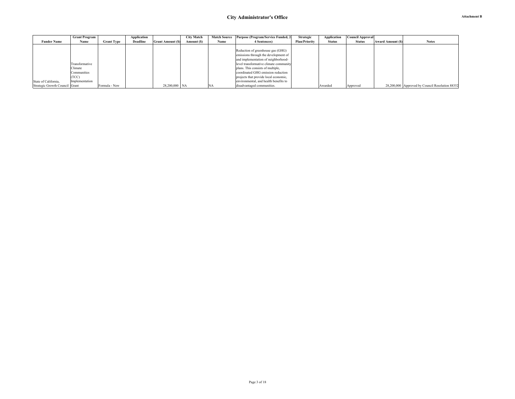|                                | <b>Grant Program</b> |                   | Application |                         | <b>City Match</b> |      | Match Source Purpose (Program/Service Funded, 2 | <b>Strategic</b>     | Application   | <b>Council Approval</b> |                          |                                                 |
|--------------------------------|----------------------|-------------------|-------------|-------------------------|-------------------|------|-------------------------------------------------|----------------------|---------------|-------------------------|--------------------------|-------------------------------------------------|
| <b>Funder Name</b>             | Name                 | <b>Grant Type</b> | Deadline    | <b>Grant Amount (S)</b> | Amount (\$)       | Name | 4 Sentences)                                    | <b>Plan/Priority</b> | <b>Status</b> | <b>Status</b>           | <b>Award Amount (\$)</b> | <b>Notes</b>                                    |
|                                |                      |                   |             |                         |                   |      |                                                 |                      |               |                         |                          |                                                 |
|                                |                      |                   |             |                         |                   |      | Reduction of greenhouse gas (GHG)               |                      |               |                         |                          |                                                 |
|                                |                      |                   |             |                         |                   |      | emissions through the development of            |                      |               |                         |                          |                                                 |
|                                |                      |                   |             |                         |                   |      | and implementation of neighborhood-             |                      |               |                         |                          |                                                 |
|                                | Transformative       |                   |             |                         |                   |      | level transformative climate community          |                      |               |                         |                          |                                                 |
|                                | Climate              |                   |             |                         |                   |      | plans. This consists of multiple,               |                      |               |                         |                          |                                                 |
|                                | Communities          |                   |             |                         |                   |      | coordinated GHG emission reduction              |                      |               |                         |                          |                                                 |
|                                | (TCC)                |                   |             |                         |                   |      | projects that provide local economic,           |                      |               |                         |                          |                                                 |
| State of California,           | Implementation       |                   |             |                         |                   |      | environmental, and health benefits to           |                      |               |                         |                          |                                                 |
| Strategic Growth Council Grant |                      | Formula - New     |             | 28,200,000 NA           |                   | NA   | disadvantaged communities.                      |                      | Awarded       | Approved                |                          | 28,200,000 Approved by Council Resolution 88352 |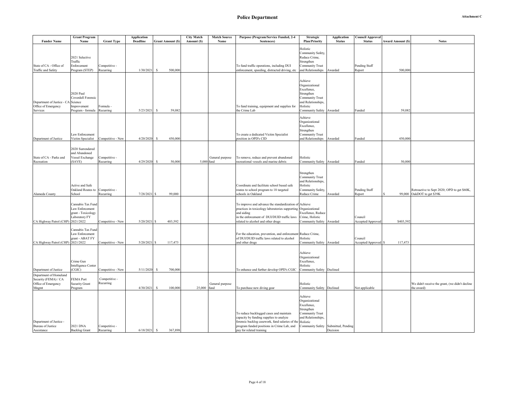| <b>Attachment C</b> |
|---------------------|
|---------------------|

|                                                                                | <b>Grant Program</b>                                                        |                            | <b>Application</b> |                          | <b>City Match</b> | <b>Match Source</b>     | Purpose (Program/Service Funded, 2-4                                                                                                                                                                                       | <b>Strategic</b>                                                                                                                | Application                    | Council Approval                |                          |                                                                    |
|--------------------------------------------------------------------------------|-----------------------------------------------------------------------------|----------------------------|--------------------|--------------------------|-------------------|-------------------------|----------------------------------------------------------------------------------------------------------------------------------------------------------------------------------------------------------------------------|---------------------------------------------------------------------------------------------------------------------------------|--------------------------------|---------------------------------|--------------------------|--------------------------------------------------------------------|
| <b>Funder Name</b>                                                             | Name                                                                        | <b>Grant Type</b>          | <b>Deadline</b>    | <b>Grant Amount (\$)</b> | Amount (\$)       | Name                    | Sentences)                                                                                                                                                                                                                 | <b>Plan/Priority</b>                                                                                                            | <b>Status</b>                  | <b>Status</b>                   | <b>Award Amount (\$)</b> | <b>Notes</b>                                                       |
| State of CA - Office of<br><b>Traffic and Safety</b>                           | 2021 Selective<br>Traffic<br>Enforcement<br>Program (STEP)                  | Competitive -<br>Recurring | 1/30/2021          | 500,000<br>-S            |                   |                         | To fund traffic operations, including DUI<br>enforcement, speeding, distracted driving, etc                                                                                                                                | Holistic<br>Community Safety,<br>Reduce Crime,<br>Strengthen<br><b>Community Trust</b><br>and Relationships                     | Awarded                        | Pending Staff<br>Report         | 500,000                  |                                                                    |
|                                                                                | <b>2020 Paul</b>                                                            |                            |                    |                          |                   |                         |                                                                                                                                                                                                                            | Achieve<br>Organizational<br>Excellence,<br>Strengthen                                                                          |                                |                                 |                          |                                                                    |
| Department of Justice - CA Science<br>Office of Emergency<br>Services          | Coverdell Forensic<br>Improvement<br>Program - formula                      | ormula ·<br>Recurring      | 5/23/2021          | 59,082<br>-S             |                   |                         | To fund training, equipment and supplies for<br>the Crime Lab                                                                                                                                                              | Community Trust<br>and Relationships,<br>Holistic<br>Community Safety Awarded                                                   |                                | Funded                          | 59,082                   |                                                                    |
| Department of Justice                                                          | Law Enforcement<br>Victim Specialist                                        | Competitive - New          | 4/20/2020          | 450,000<br><sup>S</sup>  |                   |                         | To create a dedicated Victim Specialist<br>position in OPD's CID                                                                                                                                                           | Achieve<br>Organizational<br>Excellence,<br>Strengthen<br><b>Community Trust</b><br>and Relationships                           | Awarded                        | Funded                          | 450,000                  |                                                                    |
| State of CA - Parks and<br>Recreation                                          | 2020 Surrendered<br>and Abandoned<br>Vessel Exchange<br>SAVE)               | Competitive -<br>Recurring | 4/29/2020          | 50,000<br>$\mathbf{S}$   | 5,000 fund        | General purpose         | To remove, reduce and prevent abandoned<br>ecreational vessels and marine debris                                                                                                                                           | Holistic<br>Community Safety Awarded                                                                                            |                                | Funded                          | 50,000                   |                                                                    |
| Alameda County                                                                 | Active and Safe<br>Oakland Routes to<br>School                              | Competitive -<br>Recurring | 7/28/2021          | 99,000                   |                   |                         | Coordinate and facilitate school based safe<br>routes to school program to 18 targeted<br>schools in Oakland                                                                                                               | Strengthen<br><b>Community Trust</b><br>and Relationships,<br>Holistic<br>Community Safety,<br>Reduce Crime                     | Awarded                        | Pending Staff<br>Report         | 99,000                   | Retroactive to Sept 2020; OPD to get \$60K,<br>OakDOT to get \$39K |
| CA Highway Patrol (CHP) 2021/2022                                              | Cannabis Tax Fund<br>Law Enforcement<br>grant - Toxicology<br>Laboratory FY | Competitive - New          | 5/20/2021          | 403,592                  |                   |                         | To improve and advance the standardization of Achieve<br>practices in toxicology laboratories supporting Organizational<br>and aiding<br>in the enforcement of DUI/DUID traffic laws<br>related to alcohol and other drugs | Excellence, Reduce<br>Crime, Holistic<br>Community Safety                                                                       | Awarded                        | Council<br>Accepted/Approved    | \$403,592                |                                                                    |
| CA Highway Patrol (CHP) 2021/2022                                              | Cannabis Tax Fund<br>Law Enforcement<br>grant - ABAT FY                     | Competitive - New          | 5/20/2021          | 117,473                  |                   |                         | For the education, prevention, and enforcement Reduce Crime,<br>of DUI/DUID traffic laws related to alcohol<br>and other drugs                                                                                             | Holistic<br>Community Safety Awarded                                                                                            |                                | Council<br>Accepted/Approved \$ | 117,473                  |                                                                    |
| Department of Justice                                                          | Crime Gun<br>Intelligence Center<br>(CGIC)                                  | Competitive - New          | 5/11/2020          | 700,000<br>s             |                   |                         | To enhance and further develop OPD's CGIC                                                                                                                                                                                  | Achieve<br>Organizational<br>Excellence,<br>Holistic<br>Community Safety Declined                                               |                                |                                 |                          |                                                                    |
| Department of Homeland<br>Security (FEMA) / CA<br>Office of Emergency<br>Mngmt | <b>FEMA Port</b><br>Security Grant<br>Program                               | Competitive -<br>Recurring | 4/30/2021          | 100,000<br>-S            | 25,000            | General purpose<br>fund | To purchase new diving gear                                                                                                                                                                                                | Holistic<br>Community Safety Declined                                                                                           |                                | Not applicable                  |                          | We didn't receive the grant, (we didn't decline<br>the award)      |
| Department of Justice -<br><b>Bureau</b> of Justice<br>Assistance              | 2021 DNA<br><b>Backlog Grant</b>                                            | Competitive -<br>Recurring | 6/18/2021          | -S<br>367,898            |                   |                         | To reduce backlogged cases and maintain<br>capacity by funding supplies to analyze<br>forensic backlog casework, fund salaries of the<br>program funded positions in Crime Lab, and<br>pay for related training            | Achieve<br>Organizational<br>Excellence,<br>Strengthen<br>Community Trust<br>and Relationships.<br>Holistic<br>Community Safety | Submitted, Pending<br>Decision |                                 |                          |                                                                    |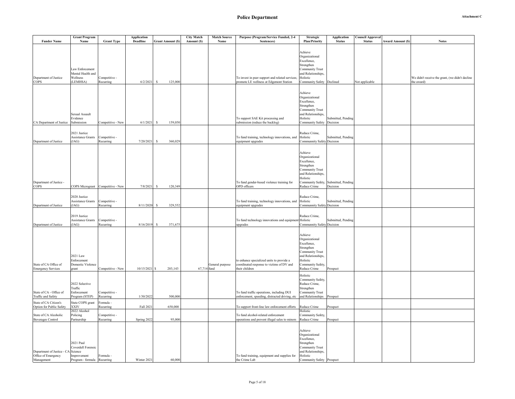| <b>Attachment C</b> |  |
|---------------------|--|
|---------------------|--|

|                                                           | <b>Grant Program</b>                                         |                                   | <b>Application</b> |                          | <b>City Match</b><br><b>Match Source</b> | Purpose (Program/Service Funded, 2-4                                                                     | Strategic                                                                                                                                        | <b>Application</b>                               | Council Approval |                         |                                                               |
|-----------------------------------------------------------|--------------------------------------------------------------|-----------------------------------|--------------------|--------------------------|------------------------------------------|----------------------------------------------------------------------------------------------------------|--------------------------------------------------------------------------------------------------------------------------------------------------|--------------------------------------------------|------------------|-------------------------|---------------------------------------------------------------|
| <b>Funder Name</b>                                        | Name                                                         | <b>Grant Type</b>                 | <b>Deadline</b>    | <b>Grant Amount (\$)</b> | Amount (S)<br>Name                       | Sentences)                                                                                               | <b>Plan/Priority</b>                                                                                                                             | <b>Status</b>                                    | <b>Status</b>    | <b>Award Amount (S)</b> | <b>Notes</b>                                                  |
| Department of Justice<br><b>COPS</b>                      | Law Enforcement<br>Mental Health and<br>Wellness<br>(LEMHSA) | Competitive -<br>Recurring        | 6/2/2021           | <b>S</b><br>125,000      |                                          | To invest in peer support and related services;<br>promote LE wellness at Edgemont Station               | Achieve<br>Organizational<br>Excellence,<br>Strengthen<br><b>Community Trust</b><br>and Relationships,<br>Holistic<br>Community Safety Declined  |                                                  | Not applicable   |                         | We didn't receive the grant, (we didn't decline<br>the award) |
| CA Department of Justice Submission                       | Sexual Assault<br>Evidence                                   | Competitive - New                 | 6/1/2021           | 159,050<br>s             |                                          | To support SAE Kit processing and<br>submission (reduce the backlog)                                     | Achieve<br>Organizational<br>Excellence,<br>Strengthen<br>Community Trust<br>and Relationships,<br>Holistic<br>Community Safety Decision         | Submitted, Pending                               |                  |                         |                                                               |
| Department of Justice                                     | 2021 Justice<br><b>Assistance Grants</b><br>(JAG)            | Competitive -<br>Recurring        | 7/20/2021          | 360,029<br>-S            |                                          | To fund training, technology innovations, and<br>equipment upgrades                                      | Reduce Crime,<br>Holistic<br>Communnity Safety Decision                                                                                          | Submitted, Pending                               |                  |                         |                                                               |
| Department of Justice -<br><b>COPS</b>                    |                                                              | COPS Microgrant Competitive - New | 7/8/2021           | 120,349<br>\$.           |                                          | To fund gender-based violence training for<br>OPD officers                                               | Achieve<br>Organizational<br>Excellence,<br>Strengthen<br><b>Community Trust</b><br>and Relationships.<br>Holistic<br>Reduce Crime               | Community Safety, Submitted, Pending<br>Decision |                  |                         |                                                               |
| Department of Justice                                     | 2020 Justice<br>Assistance Grants<br>(JAG)                   | Competitive -<br>Recurring        | 8/11/2020          | 329,552<br>s             |                                          | To fund training, technology innovations, and<br>equipment upgrades                                      | Reduce Crime,<br>Holistic<br>Communnity Safety Decision                                                                                          | Submitted, Pending                               |                  |                         |                                                               |
| Department of Justice                                     | 2019 Justice<br><b>Assistance Grants</b><br>(JAG)            | Competitive -<br>Recurring        | 8/16/2019          | 371,675<br><sup>S</sup>  |                                          | To fund technology innovations and equipment Holistic<br>upgrades                                        | Reduce Crime,<br>Communnity Safety Decision                                                                                                      | Submitted, Pending                               |                  |                         |                                                               |
| State of CA Office of<br><b>Emergency Services</b>        | 2021 Law<br>Enforcement<br>Domestic Violence<br>grant        | Competitive - New                 | $10/15/2021$ \$    | 203,143                  | General purpose<br>67,714 fund           | to enhance specialized units to provide a<br>coordinated response to victims of DV and<br>their children | Achieve<br>Organizational<br>Excellence,<br>Strengthen<br>Community Trust<br>and Relationships,<br>Holistic<br>Community Safety,<br>Reduce Crime | Prospect                                         |                  |                         |                                                               |
| State of CA - Office of<br><b>Traffic and Safety</b>      | 2022 Selective<br>Traffic<br>Enforcement<br>Program (STEP)   | Competitive -<br>Recurring        | 1/30/2022          | 500,000                  |                                          | To fund traffic operations, including DUI<br>enforcement, speeding, distracted driving, etc              | Holistic<br>Community Safety,<br>Reduce Crime,<br>Strengthen<br>Community Trust<br>and Relationships                                             | Prospect                                         |                  |                         |                                                               |
| State of CA Citizen's                                     | State COPS grant                                             | `ormula -                         |                    |                          |                                          |                                                                                                          |                                                                                                                                                  |                                                  |                  |                         |                                                               |
| Option for Public Safety                                  | <b>XXIV</b><br>2022 Alcohol                                  | Recurring                         | Fall 2021          | 650,000                  |                                          | To support front-line law enforcement efforts                                                            | Reduce Crime<br>Holistic                                                                                                                         | Prospect                                         |                  |                         |                                                               |
| State of CA Alcoholic                                     | Policing                                                     | Competitive -                     |                    |                          |                                          | To fund alcohol-related enforcement                                                                      | Community Safety,                                                                                                                                |                                                  |                  |                         |                                                               |
| <b>Beverages Control</b>                                  | Partnership<br>2021 Paul<br>Coverdell Forensic               | Recurring                         | Spring 2022        | 95,000                   |                                          | operations and prevent illegal sales to minors                                                           | Reduce Crime<br>Achieve<br>Organizational<br>Excellence,<br>Strengthen<br><b>Community Trust</b>                                                 | Prospect                                         |                  |                         |                                                               |
| Department of Justice - CA Science<br>Office of Emergency | Improvement                                                  | Formula -                         |                    |                          |                                          | To fund training, equipment and supplies for                                                             | and Relationships,<br>Holistic                                                                                                                   |                                                  |                  |                         |                                                               |
| Management                                                | Program - formula                                            | Recurring                         | Winter 2021        | 60,000                   |                                          | the Crime Lab                                                                                            | Community Safety Prospect                                                                                                                        |                                                  |                  |                         |                                                               |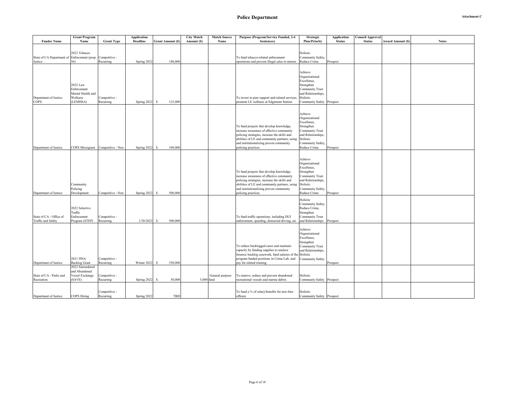|                                                        | <b>Grant Program</b>                                                 |                                   | <b>Application</b> |                          | <b>City Match</b> | <b>Match Source</b> | Purpose (Program/Service Funded, 2-4                                                                                                                                                                                                                    | <b>Strategic</b>                                                                                                                                        | Application   | C <b>ouncil Approval</b> |                         |              |
|--------------------------------------------------------|----------------------------------------------------------------------|-----------------------------------|--------------------|--------------------------|-------------------|---------------------|---------------------------------------------------------------------------------------------------------------------------------------------------------------------------------------------------------------------------------------------------------|---------------------------------------------------------------------------------------------------------------------------------------------------------|---------------|--------------------------|-------------------------|--------------|
| <b>Funder Name</b>                                     | Name                                                                 | <b>Grant Type</b>                 | <b>Deadline</b>    | <b>Grant Amount (\$)</b> | Amount (S)        | Name                | Sentences)                                                                                                                                                                                                                                              | <b>Plan/Priority</b>                                                                                                                                    | <b>Status</b> | <b>Status</b>            | <b>Award Amount (S)</b> | <b>Notes</b> |
| State of CA Department of Enforcement (prop<br>Justice | 2022 Tobacco<br>56)                                                  | Competitive -<br>Recurring        | Spring 2022        | 180,000                  |                   |                     | To fund tobacco-related enforcement<br>operations and prevent illegal sales to minors                                                                                                                                                                   | Holistic<br>Community Safety,<br>Reduce Crime                                                                                                           | Prospect      |                          |                         |              |
| Department of Justice<br>COPS                          | 2022 Law<br>Enforcement<br>Mental Health and<br>Wellness<br>(LEMHSA) | Competitive -<br>Recurring        | Spring 2022        | s<br>125,000             |                   |                     | To invest in peer support and related services;<br>promote LE wellness at Edgemont Station                                                                                                                                                              | Achieve<br>Organizational<br>Excellence,<br>Strengthen<br><b>Community Trust</b><br>and Relationships.<br>Holistic<br>Community Safety Prospect         |               |                          |                         |              |
| Department of Justice                                  |                                                                      | COPS Microgrant Competitive - New | Spring 2022        | 100,000<br>-S            |                   |                     | To fund projects that develop knowledge,<br>increase awareness of effective community<br>policing strategies, increase the skills and<br>abilities of LE and community partners, using<br>and institutionalizing proven community<br>policing practices | Achieve<br>Organizational<br>Excellence,<br>Strengthen<br><b>Community Trust</b><br>and Relationships.<br>Holistic<br>Community Safety,<br>Reduce Crime | Prospect      |                          |                         |              |
| Department of Justice                                  | Community<br>Policing<br>Development                                 | Competitive - New                 | Spring 2022        | s<br>500,000             |                   |                     | To fund projects that develop knowledge,<br>increase awareness of effective community<br>policing strategies, increase the skills and<br>abilities of LE and community partners, using<br>and institutionalizing proven community<br>policing practices | Achieve<br>Organizational<br>Excellence,<br>Strengthen<br><b>Community Trust</b><br>and Relationships.<br>Holistic<br>Community Safety,<br>Reduce Crime | Prospect      |                          |                         |              |
| State of CA - Office of<br><b>Traffic and Safety</b>   | 2022 Selective<br>Traffic<br>Enforcement<br>Program (STEP)           | Competitive -<br>Recurring        | 1/30/2022          | s<br>500,000             |                   |                     | To fund traffic operations, including DUI<br>enforcement, speeding, distracted driving, etc                                                                                                                                                             | Holistic<br>Community Safety,<br>Reduce Crime,<br>Strengthen<br><b>Community Trust</b><br>and Relationships                                             | Prospect      |                          |                         |              |
| Department of Justice                                  | 2021 DNA<br><b>Backlog Grant</b>                                     | Competitive -<br>Recurring        | Winter 2022        | 350,000<br>-S            |                   |                     | To reduce backlogged cases and maintain<br>capacity by funding supplies to analyze<br>forensic backlog casework, fund salaries of the Holistic<br>program funded positions in Crime Lab, and<br>pay for related training                                | Achieve<br>Organizational<br>Excellence,<br>Strengthen<br><b>Community Trust</b><br>and Relationships.<br>Community Safety                              | Prospect      |                          |                         |              |
| State of CA - Parks and<br>Recreation                  | 2022 Surrendered<br>and Abandoned<br>Vessel Exchange<br>(SAVE)       | Competitive -<br>Recurring        | Spring 2022        | -S<br>50,000             | 5,000 fund        | General purpose     | To remove, reduce and prevent abandoned<br>recreational vessels and marine debris                                                                                                                                                                       | Holistic<br>Community Safety Prospect                                                                                                                   |               |                          |                         |              |
| Department of Justice                                  | COPS Hiring                                                          | Competitive -<br>Recurring        | Spring 2022        | TBD                      |                   |                     | To fund a % of salary/benefits for new-hire<br>officers                                                                                                                                                                                                 | Holistic<br>Community Safety Prospect                                                                                                                   |               |                          |                         |              |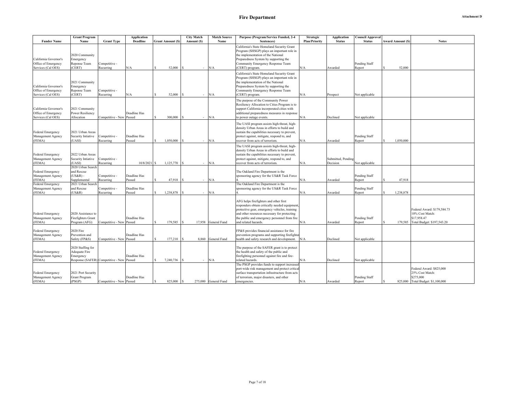|                                               | <b>Grant Program</b>                       |                                           | <b>Application</b> |                          | <b>City Match</b> | <b>Match Source</b>  | Purpose (Program/Service Funded, 2-4                                                        | <b>Strategic</b>     | <b>Application</b> | Council Approval |    |                         |                                             |
|-----------------------------------------------|--------------------------------------------|-------------------------------------------|--------------------|--------------------------|-------------------|----------------------|---------------------------------------------------------------------------------------------|----------------------|--------------------|------------------|----|-------------------------|---------------------------------------------|
| <b>Funder Name</b>                            | Name                                       | <b>Grant Type</b>                         | <b>Deadline</b>    | <b>Grant Amount (\$)</b> | Amount (\$)       | Name                 | Sentences)                                                                                  | <b>Plan/Priority</b> | <b>Status</b>      | <b>Status</b>    |    | <b>Award Amount (S)</b> | <b>Notes</b>                                |
|                                               |                                            |                                           |                    |                          |                   |                      | California's State Homeland Security Grant                                                  |                      |                    |                  |    |                         |                                             |
|                                               |                                            |                                           |                    |                          |                   |                      | Program (SHSGP) plays an important role in                                                  |                      |                    |                  |    |                         |                                             |
|                                               | 2020 Community                             |                                           |                    |                          |                   |                      | the implementation of the National                                                          |                      |                    |                  |    |                         |                                             |
| California Governor's<br>Office of Emergency  | Emergency                                  |                                           |                    |                          |                   |                      | Preparedness System by supporting the<br>Community Emergency Response Team                  |                      |                    | Pending Staff    |    |                         |                                             |
| Services (Cal OES)                            | Reponse Team<br>(CERT)                     | Competitive -<br>Recurring                | N/A                | 52,000                   | $\sim$            | N/A                  | CERT) program.                                                                              | N/A                  | Awarded            | Report           |    | 52,000                  |                                             |
|                                               |                                            |                                           |                    |                          |                   |                      |                                                                                             |                      |                    |                  |    |                         |                                             |
|                                               |                                            |                                           |                    |                          |                   |                      | California's State Homeland Security Grant                                                  |                      |                    |                  |    |                         |                                             |
|                                               | 2021 Community                             |                                           |                    |                          |                   |                      | Program (SHSGP) plays an important role in<br>the implementation of the National            |                      |                    |                  |    |                         |                                             |
| California Governor's                         | Emergency                                  |                                           |                    |                          |                   |                      | Preparedness System by supporting the                                                       |                      |                    |                  |    |                         |                                             |
| Office of Emergency                           | Reponse Team                               | Competitive -                             |                    |                          |                   |                      | Community Emergency Response Team                                                           |                      |                    |                  |    |                         |                                             |
| Services (Cal OES)                            | CERT)                                      | Recurring                                 | N/A                | 52,000                   |                   | N/A                  | CERT) program.                                                                              | N/A                  | Prospect           | Not applicable   |    |                         |                                             |
|                                               |                                            |                                           |                    |                          |                   |                      | The purpose of the Community Power                                                          |                      |                    |                  |    |                         |                                             |
|                                               |                                            |                                           |                    |                          |                   |                      | Resiliency Allocation to Cities Program is to                                               |                      |                    |                  |    |                         |                                             |
| California Governor's                         | 2021 Community                             |                                           |                    |                          |                   |                      | support California incorporated cities with                                                 |                      |                    |                  |    |                         |                                             |
| Office of Emergency                           | <b>Power Resiliency</b>                    |                                           | Deadline Has       |                          |                   |                      | additional preparedness measures in response                                                |                      |                    |                  |    |                         |                                             |
| Services (Cal OES)                            | Allocation                                 | Competitive - New Passed                  |                    | 300,000                  | $\sim$            | N/A                  | o power outage events.                                                                      | N/A                  | Declined           | Not applicable   |    |                         |                                             |
|                                               |                                            |                                           |                    |                          |                   |                      |                                                                                             |                      |                    |                  |    |                         |                                             |
|                                               |                                            |                                           |                    |                          |                   |                      | The UASI program assists high-threat, high-<br>density Urban Areas in efforts to build and  |                      |                    |                  |    |                         |                                             |
| <b>Federal Emergency</b>                      | 2021 Urban Areas                           |                                           |                    |                          |                   |                      | sustain the capabilities necessary to prevent,                                              |                      |                    |                  |    |                         |                                             |
| Management Agency                             | Security Intiative                         | Competitive -                             | Deadline Has       |                          |                   |                      | protect against, mitigate, respond to, and                                                  |                      |                    | Pending Staff    |    |                         |                                             |
| (FEMA)                                        | (UASI)                                     | Recurring                                 | Passed             | 1,050,000                | $\sim$            | N/A                  | recover from acts of terrorism.                                                             | N/A                  | Awarded            | Report           |    | 1,050,000               |                                             |
|                                               |                                            |                                           |                    |                          |                   |                      | The UASI program assists high-threat, high-                                                 |                      |                    |                  |    |                         |                                             |
|                                               |                                            |                                           |                    |                          |                   |                      | density Urban Areas in efforts to build and                                                 |                      |                    |                  |    |                         |                                             |
| <b>Federal Emergency</b>                      | 2022 Urban Areas                           |                                           |                    |                          |                   |                      | sustain the capabilities necessary to prevent,                                              |                      |                    |                  |    |                         |                                             |
| Management Agency                             | Security Intiative                         | Competitive -                             |                    |                          |                   |                      | protect against, mitigate, respond to, and                                                  |                      | Submitted, Pending |                  |    |                         |                                             |
| (FEMA)                                        | (UASI)                                     | Recurring                                 | 10/8/2021          | 1,125,770                | $\sim$            | N/A                  | recover from acts of terrorism.                                                             | N/A                  | Decision           | Not applicable   |    |                         |                                             |
|                                               | 2020 Urban Search                          |                                           |                    |                          |                   |                      |                                                                                             |                      |                    |                  |    |                         |                                             |
| <b>Federal Emergency</b>                      | and Rescue                                 |                                           |                    |                          |                   |                      | The Oakland Fire Department is the                                                          |                      |                    |                  |    |                         |                                             |
| Management Agency                             | $(US\&R)$ -                                | Competitive -                             | Deadline Has       |                          |                   |                      | sponsoring agency for the US&R Task Force                                                   |                      |                    | Pending Staff    |    |                         |                                             |
| (FEMA)                                        | Supplemental                               | Recurring                                 | Passed             | 47,918                   | $\sim$            | N/A                  |                                                                                             | N/A                  | Awarded            | Report           |    | 47,918                  |                                             |
| <b>Federal Emergency</b>                      | 2021 Urban Search<br>and Rescue            | Competitive -                             | Deadline Has       |                          |                   |                      | The Oakland Fire Department is the<br>ponsoring agency for the US&R Task Force              |                      |                    | Pending Staff    |    |                         |                                             |
| Management Agency<br>(FEMA)                   | (US&R)                                     | Recurring                                 | Passed             | 1,238,878                | ×.                | N/A                  |                                                                                             | N/A                  | Awarded            | Report           | S. | 1,238,878               |                                             |
|                                               |                                            |                                           |                    |                          |                   |                      |                                                                                             |                      |                    |                  |    |                         |                                             |
|                                               |                                            |                                           |                    |                          |                   |                      | AFG helps firefighters and other first                                                      |                      |                    |                  |    |                         |                                             |
|                                               |                                            |                                           |                    |                          |                   |                      | responders obtain critically needed equipment,                                              |                      |                    |                  |    |                         |                                             |
|                                               |                                            |                                           |                    |                          |                   |                      | protective gear, emergency vehicles, training                                               |                      |                    |                  |    |                         | Federal Award: \$179,584.73                 |
| <b>Federal Emergency</b>                      | 2020 Assistance to                         |                                           |                    |                          |                   |                      | and other resources necessary for protecting                                                |                      |                    |                  |    |                         | 10% Cost Match:                             |
| Management Agency                             | Firefighters Grant                         |                                           | Deadline Has       |                          |                   |                      | the public and emergency personnel from fire                                                |                      |                    | Pending Staff    |    |                         | \$17,958.47                                 |
| (FEMA)                                        | Program (AFG)                              | Competitive - New Passed                  |                    | 179,585                  | 17,958            | General Fund         | and related hazards                                                                         | N/A                  | Awarded            | Report           |    | 179,585                 | Total Budget: \$197,543.20                  |
| Federal Emergency                             | 2020 Fire                                  |                                           |                    |                          |                   |                      | FP&S provides financial assistance for fire                                                 |                      |                    |                  |    |                         |                                             |
| Management Agency                             | Prevention and                             |                                           | Deadline Has       |                          |                   |                      | prevention programs and supporting firefighter                                              |                      |                    |                  |    |                         |                                             |
| (FEMA)                                        | Safety (FP&S)                              | Competitive - New Passed                  |                    | 177,210                  |                   | 8.860 General Fund   | health and safety research and development.                                                 | N/A                  | Declined           | Not applicable   |    |                         |                                             |
|                                               |                                            |                                           |                    |                          |                   |                      |                                                                                             |                      |                    |                  |    |                         |                                             |
|                                               | 2020 Staffing for                          |                                           |                    |                          |                   |                      | The purpose of the SAFER grant is to protect                                                |                      |                    |                  |    |                         |                                             |
| <b>Federal Emergency</b>                      | Adequate Fire                              |                                           |                    |                          |                   |                      | the health and safety of the public and                                                     |                      |                    |                  |    |                         |                                             |
| Management Agency                             | Emergency                                  |                                           | Deadline Has       |                          |                   |                      | firefighting personnel against fire and fire-                                               |                      |                    |                  |    |                         |                                             |
| (FEMA)                                        |                                            | Response (SAFER) Competitive - New Passed |                    | 7,240,736                | $\sim$            | N/A                  | related hazards.                                                                            | N/A                  | Declined           | Not applicable   |    |                         |                                             |
|                                               |                                            |                                           |                    |                          |                   |                      | The PSGP provides funds to support increased                                                |                      |                    |                  |    |                         |                                             |
|                                               |                                            |                                           |                    |                          |                   |                      | port-wide risk management and protect critical                                              |                      |                    |                  |    |                         | Federal Award: \$825,000<br>25% Cost Match: |
| <b>Federal Emergency</b><br>Management Agency | 2021 Port Security<br><b>Grant Program</b> |                                           | Deadline Has       |                          |                   |                      | surface transportation infrastructure from acts<br>of terrorism, major disasters, and other |                      |                    | Pending Staff    |    |                         | \$275,000                                   |
| (FEMA)                                        | (PSGP)                                     | Competitive - New Passed                  |                    | 825,000                  |                   | 275,000 General Fund | emergencies.                                                                                | N/A                  | Awarded            | Report           |    |                         | 825,000 Total Budget: \$1,100,000           |
|                                               |                                            |                                           |                    |                          |                   |                      |                                                                                             |                      |                    |                  |    |                         |                                             |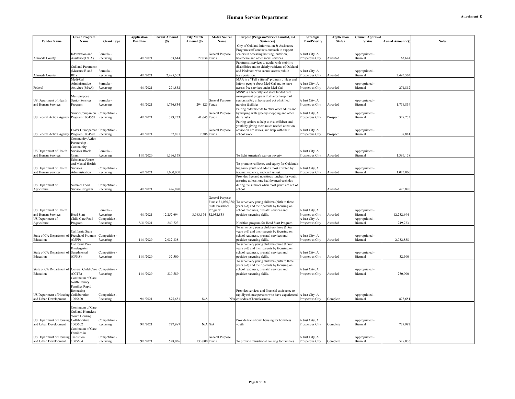| Attachment E |  |
|--------------|--|
|--------------|--|

|                                                            | <b>Grant Program</b>                         |                            | <b>Application</b> | <b>Grant Amount</b> | <b>City Match</b> | <b>Match Source</b>    | Purpose (Program/Service Funded, 2-4                                  | Strategic                         | <b>Application</b> | <b>Council Approval</b>    |                          |              |
|------------------------------------------------------------|----------------------------------------------|----------------------------|--------------------|---------------------|-------------------|------------------------|-----------------------------------------------------------------------|-----------------------------------|--------------------|----------------------------|--------------------------|--------------|
| <b>Funder Name</b>                                         | Name                                         | <b>Grant Type</b>          | <b>Deadline</b>    | (S)                 | Amount (S)        | Name                   | Sentences)                                                            | <b>Plan/Priority</b>              | <b>Status</b>      | <b>Status</b>              | <b>Award Amount (\$)</b> | <b>Notes</b> |
|                                                            |                                              |                            |                    |                     |                   |                        | City of Oakland Information & Assistance                              |                                   |                    |                            |                          |              |
|                                                            |                                              |                            |                    |                     |                   |                        | Program staff conducts outreach to support                            |                                   |                    |                            |                          |              |
|                                                            | Information and                              | <sup>∶</sup> ormula -      |                    |                     |                   | General Purpose        | seniors in accessing housing, nutrition,                              | A Just City; A                    |                    | Appropriated -             |                          |              |
| Alameda County                                             | Assitance(I & A)                             | Recurring                  | 4/1/2021           | 63,644              |                   | 27,034 Funds           | healthcare and other social services.                                 | Prosperous City                   | Awarded            | Biennial                   | 63,644                   |              |
|                                                            |                                              |                            |                    |                     |                   |                        | Paratransit services to adults with mobility                          |                                   |                    |                            |                          |              |
|                                                            | Oakland Paratransi<br>(Measure B and         |                            |                    |                     |                   |                        | disabilities and to elderly residents of Oakland                      |                                   |                    |                            |                          |              |
|                                                            | BB)                                          | Formula -<br>Recurring     | 4/1/2021           | 2.495.503           |                   |                        | and Piedmont who cannot access public                                 | A Just City; A<br>Prosperous City | Awarded            | Appropriated -<br>Biennial | 2.495,503                |              |
| Alameda County                                             | Medi-Cal                                     |                            |                    |                     |                   |                        | transportation.<br>MAA is a "Tell a friend" program. Help and         |                                   |                    |                            |                          |              |
|                                                            | Administrative                               | Formula -                  |                    |                     |                   |                        | Inform people about Med-Cal and to have                               | A Just City; A                    |                    | Appropriated -             |                          |              |
| Federal                                                    | Activites (MAA)                              | Recurring                  | 4/1/2021           | 271,852             |                   |                        | access free services under Med-Cal.                                   | Prosperous City                   | Awarded            | Biennial                   | 271,852                  |              |
|                                                            |                                              |                            |                    |                     |                   |                        | MSSP is a federally and state funded care                             |                                   |                    |                            |                          |              |
|                                                            | Multipurpose                                 |                            |                    |                     |                   |                        | management program that helps keep frail                              |                                   |                    |                            |                          |              |
| US Department of Health                                    | Senior Services                              | Formula -                  |                    |                     |                   | General Purpose        | seniors safely at home and out of skilled                             | A Just City; A                    |                    | Appropriated -             |                          |              |
| and Human Services                                         | Program                                      | Recurring                  | 4/1/2021           | 1,756,834           | 294,125 Funds     |                        | nursing facilities                                                    | Prosperous City                   | Awarded            | Biennial                   | 1,756,834                |              |
|                                                            |                                              |                            |                    |                     |                   |                        | Pairing older friends to other older adults and                       |                                   |                    |                            |                          |              |
|                                                            | Senior Companion                             | Competitive -              |                    |                     |                   | General Purpose        | by helping with grocery shopping and other                            | A Just City; A                    |                    | Appropriated -             |                          |              |
| US Federal Action Agency                                   | Program 1004567                              | Recurring                  | 4/1/2021           | 329,233             | 41,645            | unds <sup>2</sup>      | daily tasks.                                                          | Prosperous City                   | Prospect           | Biennial                   | 329,233                  |              |
|                                                            |                                              |                            |                    |                     |                   |                        | Pairing seniors to help at-risk children and                          |                                   |                    |                            |                          |              |
|                                                            |                                              |                            |                    |                     |                   |                        | youth by giving them much needed attention,                           |                                   |                    |                            |                          |              |
|                                                            | Foster Grandparent                           | Competitive -              |                    |                     |                   | General Purpose        | advice on life issues, and help with their                            | A Just City; A                    |                    | Appropriated -             |                          |              |
| US Federal Action Agency                                   | Program 1004570                              | Recurring                  | 4/1/2021           | 37,881              |                   | 7,386 Funds            | school work                                                           | Prosperous City                   | Prospect           | Biennial                   | 37,881                   |              |
|                                                            | Community Action                             |                            |                    |                     |                   |                        |                                                                       |                                   |                    |                            |                          |              |
|                                                            | Partnership -                                |                            |                    |                     |                   |                        |                                                                       |                                   |                    |                            |                          |              |
|                                                            | Community                                    |                            |                    |                     |                   |                        |                                                                       |                                   |                    |                            |                          |              |
| US Department of Health                                    | <b>Services Block</b>                        | ormula -                   |                    |                     |                   |                        |                                                                       | A Just City; A                    |                    | Appropriated -             |                          |              |
| and Human Services                                         | Grant<br>Substance Abuse                     | Recurring                  | 11/1/2020          | 1,396,158           |                   |                        | To fight America's war on poverty.                                    | Prosperous City                   | Awarded            | Biennial                   | 1,396,158                |              |
|                                                            | and Mental Health                            |                            |                    |                     |                   |                        | To promote resiliency and equity for Oakland's                        |                                   |                    |                            |                          |              |
| US Department of Health                                    | Services                                     | Competitive -              |                    |                     |                   |                        | high-risk youth and adults most affected by                           | A Just City; A                    |                    | Appropriated -             |                          |              |
| and Human Services                                         | Administration                               | Recurring                  | 6/1/2021           | 1,000,000           |                   |                        | trauma, violence, and civil unrest.                                   | Prosperous City                   | Awarded            | Biennial                   | 1,025,000                |              |
|                                                            |                                              |                            |                    |                     |                   |                        | Provides free and nutritious lunches for youth,                       |                                   |                    |                            |                          |              |
|                                                            |                                              |                            |                    |                     |                   |                        | assuring at least one healthy meal each day                           |                                   |                    |                            |                          |              |
| US Department of                                           | Summer Food                                  | Competitive -              |                    |                     |                   |                        | during the summer when most youth are out of                          |                                   |                    |                            |                          |              |
| Agriculture                                                | Service Program                              | Recurring                  | 4/1/2021           | 426,870             |                   |                        | school.                                                               |                                   | Awarded            |                            | 426,870                  |              |
|                                                            |                                              |                            |                    |                     |                   |                        |                                                                       |                                   |                    |                            |                          |              |
|                                                            |                                              |                            |                    |                     |                   | General Purpose        |                                                                       |                                   |                    |                            |                          |              |
|                                                            |                                              |                            |                    |                     |                   |                        | Funds: \$1,030,336; To serve very young children (birth to three      |                                   |                    |                            |                          |              |
|                                                            |                                              |                            |                    |                     |                   | <b>State Preschool</b> | years old) and their parents by focusing on                           |                                   |                    |                            |                          |              |
| US Department of Health                                    |                                              | Formula -                  |                    |                     |                   | Program:               | school readiness, prenatal services and                               | A Just City; A                    |                    | Appropriated -             |                          |              |
| and Human Services                                         | Head Start                                   | Recurring                  | 4/1/2021           | 12,252,694          |                   | 3,063,174 \$2,032,838  | positive parenting skills.                                            | Prosperous City                   | Awarded            | Biennial                   | 12,252,694               |              |
| US Department of                                           | Child Care Food                              | Competitive -              |                    |                     |                   |                        |                                                                       | A Just City; A                    |                    | Appropriated -             |                          |              |
| Agriculture                                                | Program                                      | Recurring                  | 8/31/2021          | 249,723             |                   |                        | Nutrition program for Head Start Program.                             | Prosperous City                   | Awarded            | Biennial                   | 249,723                  |              |
|                                                            |                                              |                            |                    |                     |                   |                        | To serve very young children (three & four                            |                                   |                    |                            |                          |              |
|                                                            | California State                             |                            |                    |                     |                   |                        | years old) and their parents by focusing on                           |                                   |                    |                            |                          |              |
| State of CA Department of<br>Education                     | Preschool Program<br>(CSPP)                  | Competitive -<br>Recurring | 11/1/2020          | 2,032,838           |                   |                        | school readiness, prenatal services and<br>positive parenting skills. | A Just City; A<br>Prosperous City | Awarded            | Appropriated -<br>Biennial | 2,032,838                |              |
|                                                            | California Pre-                              |                            |                    |                     |                   |                        | To serve very young children (three & four                            |                                   |                    |                            |                          |              |
|                                                            | Kindergarten                                 |                            |                    |                     |                   |                        | years old) and their parents by focusing on                           |                                   |                    |                            |                          |              |
| State of CA Department of                                  | Supplmental                                  | Competitive -              |                    |                     |                   |                        | school readiness, prenatal services and                               | A Just City; A                    |                    | Appropriated -             |                          |              |
| Education                                                  | (CPKS)                                       | Recurring                  | 11/1/2020          | 32,500              |                   |                        | positive parenting skills.                                            | Prosperous City                   | Awarded            | Biennial                   | 32,500                   |              |
|                                                            |                                              |                            |                    |                     |                   |                        | To serve very young children (birth to three                          |                                   |                    |                            |                          |              |
|                                                            |                                              |                            |                    |                     |                   |                        | years old) and their parents by focusing on                           |                                   |                    |                            |                          |              |
| State of CA Department of General Child Care Competitive - |                                              |                            |                    |                     |                   |                        | school readiness, prenatal services and                               | A Just City; A                    |                    | Appropriated -             |                          |              |
| Education                                                  | CCTR)                                        | Recurring                  | 11/1/2020          | 239,589             |                   |                        | ositive parenting skills.                                             | Prosperous City                   | Awarded            | Biennial                   | 250,000                  |              |
|                                                            | Continuum of Care                            |                            |                    |                     |                   |                        |                                                                       |                                   |                    |                            |                          |              |
|                                                            | North County                                 |                            |                    |                     |                   |                        |                                                                       |                                   |                    |                            |                          |              |
|                                                            | Families Rapid                               |                            |                    |                     |                   |                        |                                                                       |                                   |                    |                            |                          |              |
|                                                            | Rehousing                                    |                            |                    |                     |                   |                        | Provides services and financial assistance to                         |                                   |                    |                            |                          |              |
| US Department of Housing                                   | Collaboration                                | Competitive -              |                    |                     |                   |                        | rapidly rehouse persons who have experienced                          | A Just City; A                    |                    | Appropriated -             |                          |              |
| and Urban Development                                      | 1005600                                      | Recurring                  | 9/1/2021           | 875,651             | N/A               |                        | N/A episodes of homelessness.                                         | Prosperous City                   | Complete           | Biennial                   | 875,651                  |              |
|                                                            |                                              |                            |                    |                     |                   |                        |                                                                       |                                   |                    |                            |                          |              |
|                                                            | Continuum of Care<br><b>Oakland Homeless</b> |                            |                    |                     |                   |                        |                                                                       |                                   |                    |                            |                          |              |
|                                                            | <b>Youth Housing</b>                         |                            |                    |                     |                   |                        |                                                                       |                                   |                    |                            |                          |              |
| US Department of Housing                                   | Collaborative                                | Competitive -              |                    |                     |                   |                        | Provide transitional housing for homeless                             | A Just City; A                    |                    | Appropriated -             |                          |              |
| and Urban Development                                      | 1005602                                      | Recurring                  | 9/1/2021           | 727,987             |                   | $N/A$ $N/A$            | youth.                                                                | Prosperous City                   | Complete           | Biennial                   | 727,987                  |              |
|                                                            | Continuum of Care                            |                            |                    |                     |                   |                        |                                                                       |                                   |                    |                            |                          |              |
|                                                            | Families in                                  |                            |                    |                     |                   |                        |                                                                       |                                   |                    |                            |                          |              |
| US Department of Housing Transition                        |                                              | Competitive -              |                    |                     |                   | General Purpose        |                                                                       | A Just City; A                    |                    | Appropriated -             |                          |              |
| and Urban Development                                      | 1005604                                      | Recurring                  | 9/1/2021           | 528,036             | 133,000 Funds     |                        | To provide transitional housing for families.                         | Prosperous City                   | Complete           | Biennial                   | 528,036                  |              |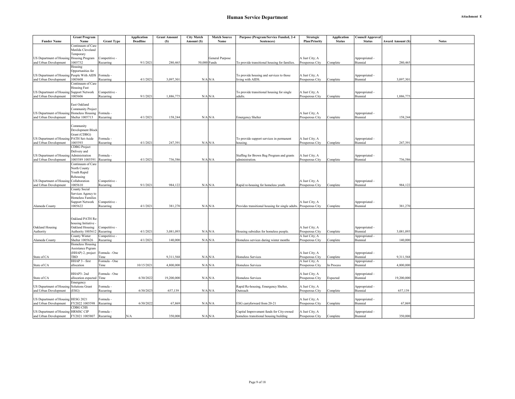|                                                                    | <b>Grant Program</b>                                                                                 |                                             | <b>Application</b> | <b>Grant Amount</b> | <b>City Match</b> | <b>Match Source</b> | Purpose (Program/Service Funded, 2-4                             | Strategic                                           | <b>Application</b> | <b>Council Approval</b>                      |                         |              |
|--------------------------------------------------------------------|------------------------------------------------------------------------------------------------------|---------------------------------------------|--------------------|---------------------|-------------------|---------------------|------------------------------------------------------------------|-----------------------------------------------------|--------------------|----------------------------------------------|-------------------------|--------------|
| <b>Funder Name</b>                                                 | Name                                                                                                 | <b>Grant Type</b>                           | <b>Deadline</b>    | (S)                 | Amount (S)        | Name                | Sentences)                                                       | <b>Plan/Priority</b>                                | <b>Status</b>      | <b>Status</b>                                | <b>Award Amount (S)</b> | <b>Notes</b> |
| US Department of Housing                                           | Continuum of Care<br>Matilda Cleveland<br>Temporary<br>Housing Program                               | Competitive -                               |                    |                     |                   | General Purpose     |                                                                  | A Just City; A                                      |                    | Appropriated -                               |                         |              |
| and Urban Development                                              | 1005732                                                                                              | Recurring                                   | 9/1/202            | 280,465             | 50,000 Funds      |                     | To provide transitional housing for families.                    | Prosperous City                                     | Complete           | Biennial                                     | 280,465                 |              |
|                                                                    | Housing<br>Opportunities for                                                                         |                                             |                    |                     |                   |                     |                                                                  |                                                     |                    |                                              |                         |              |
| US Department of Housing<br>and Urban Development                  | People With AIDS<br>1005608                                                                          | Formula<br>Recurring                        | 4/1/202            | 3.097.301           | $N/A$ $N/A$       |                     | To provide housing and services to those<br>living with AIDS.    | A Just City; A<br>Prosperous City                   |                    | Appropriated -<br>Biennial                   | 3,097,301               |              |
|                                                                    | Continuum of Care                                                                                    |                                             |                    |                     |                   |                     |                                                                  |                                                     | Complete           |                                              |                         |              |
| US Department of Housing                                           | <b>Housing Fast</b><br><b>Support Network</b>                                                        | Competitive -                               |                    |                     |                   |                     | To provide transitional housing for single                       | A Just City; A                                      |                    | Appropriated -                               |                         |              |
| and Urban Development                                              | 1005606                                                                                              | Recurring                                   | 9/1/202            | 1,886,77            | $N/A$ $N/A$       |                     | adults.                                                          | Prosperous City                                     | Complete           | Biennial                                     | 1,886,775               |              |
| US Department of Housing Homeless Housing<br>and Urban Development | East Oakland<br>Community Project<br>Shelter 1005713                                                 | Formula -<br>Recurring                      | 4/1/2021           | 158,244             | $N/A$ $N/A$       |                     | <b>Emergency Shelter</b>                                         | A Just City; A<br>Prosperous City                   | Complete           | Appropriated -<br>Biennial                   | 158,244                 |              |
| US Department of Housing<br>and Urban Development                  | Community<br>Development Block<br>Grant (CDBG)<br>PATH Set-Aside<br>1005593<br><b>CDBG</b> Project   | Formula -<br>Recurring                      | 4/1/202            | 247.39              | $N/A$ $N/A$       |                     | To provide support services in permanent<br>housing.             | A Just City; A<br>Prosperous City                   | Complete           | Appropriated -<br>Biennial                   | 247.391                 |              |
| US Department of Housing<br>and Urban Development                  | Delivery and<br>Administration<br>005589 1005591                                                     | Formula<br>Recurring                        | 4/1/2021           | 736,586             | $N/A$ $N/A$       |                     | Staffing for Brown Bag Program and grants<br>administration.     | A Just City; A<br>Prosperous City                   | Complete           | Appropriated -<br>Biennial                   | 736,586                 |              |
| US Department of Housing<br>and Urban Development                  | Continuum of Care<br>North County<br>Youth Rapid<br>Rehousing<br>Collaboration<br>1005610            | Competitive -<br>Recurring                  | 9/1/2021           | 984,122             | $N/A$ $N/A$       |                     | Rapid re-housing for homeless youth.                             | A Just City; A<br>Prosperous City                   | Complete           | Appropriated -<br>Biennial                   | 984,122                 |              |
| Alameda County                                                     | County Social<br>Services Agency to<br><b>Homeless Families</b><br><b>Support Network</b><br>1005622 | Competitive -<br>Recurring                  | 4/1/202            | 381,270             | $N/A$ $N/A$       |                     | Provides transitional housing for single adults. Prosperous City | A Just City; A                                      | Complete           | Appropriated -<br>Biennial                   | 381,270                 |              |
| Oakland Housing<br>Authority                                       | Oakland PATH Re-<br>housing Initiative -<br>Oakland Housing<br>Authority 1005612<br>County Winter    | Competitive -<br>Recurring<br>Competitive - | 4/1/2021           | 3,081,093           | $N/A$ $N/A$       |                     | Housing subsidies for homeless people.                           | A Just City; A<br>Prosperous City<br>A Just City; A | Complete           | Appropriated -<br>Biennial<br>Appropriated - | 3,081,093               |              |
| Alameda County                                                     | Shelter 1005626<br><b>Homeless Housing</b>                                                           | Recurring                                   | 4/1/202            | 140,000             |                   | $N/A$ $N/A$         | Homeless services during winter months                           | Prosperous City                                     | Complete           | Biennial                                     | 140,000                 |              |
| State of CA                                                        | Assistance Prgram<br>(HHAP) 2, project<br>TBD                                                        | Formula - One<br>Time                       |                    | 9,311,568           | $N/A$ $N/A$       |                     | Homeless Services                                                | A Just City; A<br>Prosperous City                   | Complete           | Appropriated -<br>Biennial                   | 9,311,568               |              |
|                                                                    | HHAP 3 - first                                                                                       | Formula - One                               |                    |                     |                   |                     |                                                                  | A Just City; A                                      |                    | Appropriated -                               |                         |              |
| State of CA                                                        | allocation                                                                                           | Time                                        | 10/15/2021         | 4,800,000           | $N/A$ $N/A$       |                     | Homeless Services                                                | Prosperous City                                     | In Process         | Biennial                                     | 4,800,000               |              |
| State of CA                                                        | HHAP3-2nd<br>allocation expected Time<br>Emergency                                                   | Formula - One                               | 6/30/2022          | 19,200,000          | $N/A$ $N/A$       |                     | <b>Homeless Services</b>                                         | A Just City; A<br>Prosperous City                   | Expected           | Appropriated -<br>Biennial                   | 19,200,000              |              |
| US Department of Housing<br>and Urban Development                  | <b>Solutions Grant</b><br>(ESG)                                                                      | Formula -<br>Recurring                      | 6/30/2023          | 657,139             |                   | $N/A$ $N/A$         | Rapid Re-housing, Emergency Shelter,<br>Outreach                 | A Just City; A<br>Prosperous City                   | Complete           | Appropriated -<br>Biennial                   | 657,139                 |              |
| US Department of Housing                                           | <b>HESG 2021</b>                                                                                     | Formula                                     |                    |                     |                   |                     |                                                                  |                                                     |                    |                                              |                         |              |
| and Urban Development                                              | Y2022 1005598                                                                                        | Recurring                                   | 6/30/2022          | 67,869              | $N/A$ $N/A$       |                     | ESG carryforward from 20-21                                      | A Just City; A<br>Prosperous City                   | Complete           | Appropriated -<br>Biennial                   | 67,869                  |              |
|                                                                    | <b>CDBG CHS</b>                                                                                      |                                             |                    |                     |                   |                     |                                                                  |                                                     |                    |                                              |                         |              |
| US Department of Housing                                           | <b>HRMSC CIP</b>                                                                                     | Formula -                                   |                    |                     |                   |                     | Capital Improvement funds for City-owned                         | A Just City; A                                      |                    | Appropriated -                               |                         |              |
| and Urban Development                                              | FY2021 1005807                                                                                       | Recurring                                   | N/A                | 350,000             | $N/A$ $N/A$       |                     | homeless transitional housing building                           | Prosperous City                                     | Complete           | Biennial                                     | 350,000                 |              |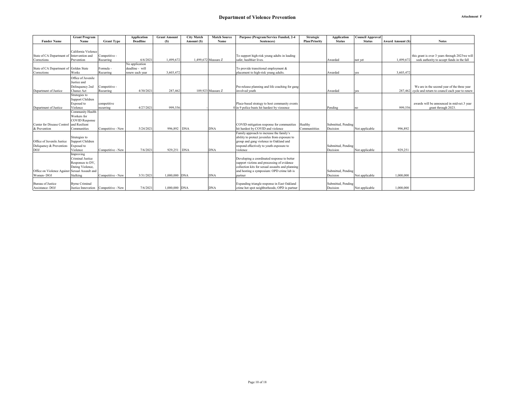|                                               | <b>Grant Program</b>                   |                   | <b>Application</b> | <b>Grant Amount</b> | <b>City Match</b> | <b>Match Source</b> | Purpose (Program/Service Funded, 2-4             | Strategic            | <b>Application</b> | <b>Council Approval</b> |                         |                                                        |
|-----------------------------------------------|----------------------------------------|-------------------|--------------------|---------------------|-------------------|---------------------|--------------------------------------------------|----------------------|--------------------|-------------------------|-------------------------|--------------------------------------------------------|
| <b>Funder Name</b>                            | Name                                   | <b>Grant Type</b> | <b>Deadline</b>    | (S)                 | Amount (S)        | Name                | Sentences)                                       | <b>Plan/Priority</b> | <b>Status</b>      | <b>Status</b>           | <b>Award Amount (S)</b> | <b>Notes</b>                                           |
|                                               |                                        |                   |                    |                     |                   |                     |                                                  |                      |                    |                         |                         |                                                        |
|                                               | California Violence                    |                   |                    |                     |                   |                     |                                                  |                      |                    |                         |                         |                                                        |
| State of CA Department of                     | Intervention and                       | Competitive -     |                    |                     |                   |                     | To support high-risk young adults in leading     |                      |                    |                         |                         | this grant is over 3 years through 2023 we will        |
| Corrections                                   | Prevention                             | Recurring         | 6/6/2021           | 1.499.672           |                   | 1.499.672 Measure Z | safer, healthier lives.                          |                      | Awarded            | not yet                 | 1,499,672               | seek authority to accept funds in the fall             |
|                                               |                                        |                   | No application     |                     |                   |                     |                                                  |                      |                    |                         |                         |                                                        |
| State of CA Department of Golden State        |                                        | Formula -         | deadline - will    |                     |                   |                     | To provide transitional employment &             |                      |                    |                         |                         |                                                        |
| Corrections                                   | Works                                  | Recurring         | renew each year    | 3,603,472           |                   |                     | placement to high-risk young adults.             |                      | Awarded            | <b>VCS</b>              | 3,603,472               |                                                        |
|                                               | Office of Juvenile                     |                   |                    |                     |                   |                     |                                                  |                      |                    |                         |                         |                                                        |
|                                               | Justice and                            |                   |                    |                     |                   |                     |                                                  |                      |                    |                         |                         |                                                        |
|                                               | Delinquency 2nd                        | Competitive -     |                    |                     |                   |                     | Pre-release planning and life coaching for gang  |                      |                    |                         |                         | We are in the second year of the three year            |
| Department of Justice                         | Chance Act                             | Recurring         | 4/30/2021          | 287,462             |                   | 109.923 Measure Z   | involved vouth                                   |                      | Awarded            | ves                     |                         | 287.462 cycle and return to council each year to renew |
|                                               | Strategies to                          |                   |                    |                     |                   |                     |                                                  |                      |                    |                         |                         |                                                        |
|                                               | Support Children                       |                   |                    |                     |                   |                     |                                                  |                      |                    |                         |                         |                                                        |
|                                               | Exposed to                             | competitive       |                    |                     |                   |                     | Place-based strategy to host community events    |                      |                    |                         |                         | awards will be announced in mid-oct.3 year             |
| Department of Justice                         | Violence                               | recurring         | 4/27/2021          | 999,556             |                   |                     | in 9 police beats hit hardest by viooence        |                      | Pending            | no                      | 999,556                 | grant through 2023.                                    |
|                                               | Community Health                       |                   |                    |                     |                   |                     |                                                  |                      |                    |                         |                         |                                                        |
|                                               | Workers for                            |                   |                    |                     |                   |                     |                                                  |                      |                    |                         |                         |                                                        |
|                                               | <b>COVID Response</b>                  |                   |                    |                     |                   |                     |                                                  |                      |                    |                         |                         |                                                        |
| Center for Disease Control                    | and Resilient                          |                   |                    |                     |                   |                     | COVID mitigation response for communities        | Healthy              | Submitted, Pending |                         |                         |                                                        |
| & Prevention                                  | Communities                            | Competitive - New | 5/24/2021          | 996.892 DNA         |                   | <b>DNA</b>          | hit hardest by COVID and violence                | Communitities        | Decision           | Not applicable          | 996.892                 |                                                        |
|                                               |                                        |                   |                    |                     |                   |                     | Family approach to increase the family's         |                      |                    |                         |                         |                                                        |
|                                               | Strategies to                          |                   |                    |                     |                   |                     | ability to protect juveniles from exposure to    |                      |                    |                         |                         |                                                        |
| Office of Juvenile Justice                    | Support Children                       |                   |                    |                     |                   |                     | group and gang violence in Oakland and           |                      |                    |                         |                         |                                                        |
| Deliquency & Prevention-                      | Exposed to                             |                   |                    |                     |                   |                     | respond effectively to youth exposure to         |                      | Submitted, Pending |                         |                         |                                                        |
| <b>DOJ</b>                                    | Violence                               | Competitive - New | 7/6/2021           | 929,251 DNA         |                   | <b>DNA</b>          | violence                                         |                      | Decision           | Not applicable          | 929,251                 |                                                        |
|                                               | Improving                              |                   |                    |                     |                   |                     |                                                  |                      |                    |                         |                         |                                                        |
|                                               | Criminal Justice                       |                   |                    |                     |                   |                     | Developing a coordinated response to better      |                      |                    |                         |                         |                                                        |
|                                               | Responses to DV,                       |                   |                    |                     |                   |                     | support victims and processing of evidence       |                      |                    |                         |                         |                                                        |
|                                               | Dating Violence,                       |                   |                    |                     |                   |                     | collection kits for sexual assaults and planning |                      |                    |                         |                         |                                                        |
| Office on Violence Against Sexual Assault and |                                        |                   |                    |                     |                   |                     | and hosting a symposium: OPD crime lab is        |                      | Submitted, Pending |                         |                         |                                                        |
| Women-DOJ                                     | Stalking                               | Competitive - New | 3/31/2021          | 1,000,000 DNA       |                   | <b>DNA</b>          | partner                                          |                      | Decision           | Not applicable          | 1,000,000               |                                                        |
| <b>Bureau</b> of Justice                      | <b>Byrne Criminal</b>                  |                   |                    |                     |                   |                     | Expanding triangle response in East Oakland      |                      | Submitted, Pending |                         |                         |                                                        |
| Assistance-DOJ                                | Justice Innovation   Competitive - New |                   | 7/6/2021           | 1,000,000 DNA       |                   | <b>DNA</b>          | crime hot spot neighborhoods: OPD is partner     |                      | Decision           | Not applicable          | 1,000,000               |                                                        |
|                                               |                                        |                   |                    |                     |                   |                     |                                                  |                      |                    |                         |                         |                                                        |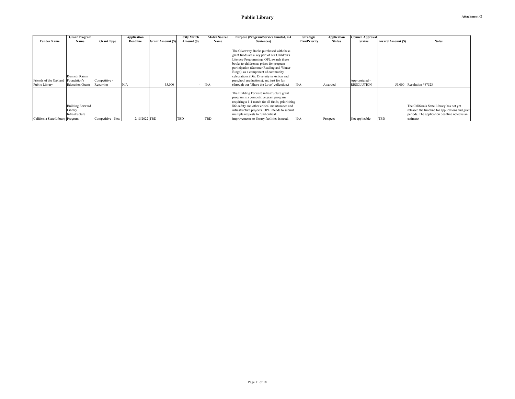|                                                       | <b>Grant Program</b>                                 |                            | <b>Application</b> |                         | <b>City Match</b> | <b>Match Source</b> | Purpose (Program/Service Funded, 2-4                                                                                                                                                                                                                                                                                                                                                                    | <b>Strategic</b>     | Application   | <b>Council Approval</b>             |                          |                                                                                                                                                            |
|-------------------------------------------------------|------------------------------------------------------|----------------------------|--------------------|-------------------------|-------------------|---------------------|---------------------------------------------------------------------------------------------------------------------------------------------------------------------------------------------------------------------------------------------------------------------------------------------------------------------------------------------------------------------------------------------------------|----------------------|---------------|-------------------------------------|--------------------------|------------------------------------------------------------------------------------------------------------------------------------------------------------|
| <b>Funder Name</b>                                    | Name                                                 | <b>Grant Type</b>          | <b>Deadline</b>    | <b>Grant Amount (S)</b> | Amount (S)        | Name                | Sentences)                                                                                                                                                                                                                                                                                                                                                                                              | <b>Plan/Priority</b> | <b>Status</b> | <b>Status</b>                       | <b>Award Amount (\$)</b> | <b>Notes</b>                                                                                                                                               |
| Friends of the Oakland Foundation's<br>Public Library | Kenneth Rainin<br><b>Education Grants</b>            | Competitive -<br>Recurring | N/A                | 55,000                  |                   | N/A                 | The Giveaway Books purchased with these<br>grant funds are a key part of our Children's<br>Literacy Programming. OPL awards these<br>books to children as prizes for program<br>participation (Summer Reading and Winter<br>Bingo), as a component of community<br>celebrations (Día: Diversity in Action and<br>preschool graduations), and just for fun<br>(through our "Share the Love" collection.) | N/A                  | Awarded       | Appropriated -<br><b>RESOLUTION</b> |                          | 55,000 Resolution #87523                                                                                                                                   |
| California State Library Program                      | <b>Building Forward</b><br>Library<br>Infrastructure | Competitive - New          | 2/15/2022 TBD      |                         | <b>TBD</b>        | <b>TBD</b>          | The Building Forward infrastructure grant<br>program is a competitive grant program<br>requiring a 1-1 match for all funds, prioritizing<br>life-safety and other critical maintenance and<br>infrastructure projects. OPL intends to submit<br>multiple requests to fund critical<br>improvements to library facilities in need.                                                                       | N/A                  | Prospect      | Not applicable                      | <b>TBD</b>               | The California State Library has not yet<br>released the timeline for applications and grant<br>periods. The application deadline noted is an<br>estimate. |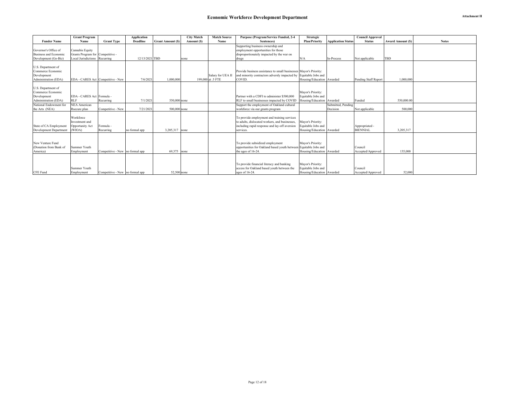|                                         | <b>Grant Program</b>              |                                 | <b>Application</b> |                         | <b>City Match</b> | <b>Match Source</b> | Purpose (Program/Service Funded, 2-4                              | <b>Strategic</b>                        |                           | <b>Council Approval</b> |                         |              |
|-----------------------------------------|-----------------------------------|---------------------------------|--------------------|-------------------------|-------------------|---------------------|-------------------------------------------------------------------|-----------------------------------------|---------------------------|-------------------------|-------------------------|--------------|
| <b>Funder Name</b>                      | Name                              | <b>Grant Type</b>               | Deadline           | <b>Grant Amount (S)</b> | Amount (S)        | Name                | Sentences)                                                        | <b>Plan/Priority</b>                    | <b>Application Status</b> | <b>Status</b>           | <b>Award Amount (S)</b> | <b>Notes</b> |
|                                         |                                   |                                 |                    |                         |                   |                     | Supporting business ownership and                                 |                                         |                           |                         |                         |              |
| Governor's Office of                    | Cannabis Equity                   |                                 |                    |                         |                   |                     | employment opportunities for those                                |                                         |                           |                         |                         |              |
| <b>Business and Economic</b>            | Grants Program for Competitive -  |                                 |                    |                         |                   |                     | disproportionately impacted by the war on                         |                                         |                           |                         |                         |              |
| Development (Go-Biz)                    | Local Jurisdictions Recurring     |                                 | 12/13/2021 TBD     |                         | none              |                     | drugs                                                             | N/A                                     | In-Process                | Not applicable          | TBD                     |              |
|                                         |                                   |                                 |                    |                         |                   |                     |                                                                   |                                         |                           |                         |                         |              |
| U.S. Department of                      |                                   |                                 |                    |                         |                   |                     |                                                                   |                                         |                           |                         |                         |              |
| Commerce Economic                       |                                   |                                 |                    |                         |                   |                     | Provide business assistance to small businesses Mayor's Priority: |                                         |                           |                         |                         |              |
| Development                             |                                   |                                 |                    |                         |                   | Salary for UEA II   | and minority contractors adversly impacted by Equitable Jobs and  |                                         |                           |                         |                         |              |
| Administration (EDA)                    | EDA - CARES Act Competitive - New |                                 | 7/6/202            | 1,000,000               |                   | 199,000 at .5 FTE   | COVID.                                                            | Housing/Education Awarded               |                           | Pending Staff Report    | 1,000,000               |              |
|                                         |                                   |                                 |                    |                         |                   |                     |                                                                   |                                         |                           |                         |                         |              |
| U.S. Department of<br>Commerce Economic |                                   |                                 |                    |                         |                   |                     |                                                                   |                                         |                           |                         |                         |              |
| Development                             | EDA - CARES Act Formula -         |                                 |                    |                         |                   |                     | Partner with a CDFI to administer \$500,000                       | Mayor's Priority:<br>Equitable Jobs and |                           |                         |                         |              |
| Administration (EDA)                    | <b>RLF</b>                        | Recurring                       | 7/1/202            | 550,000 none            |                   |                     | RLF to small businesses impacted by COVID                         | Housing/Education Awarded               |                           | Funded                  | 550,000,00              |              |
| National Endowment for                  | <b>NEA</b> American               |                                 |                    |                         |                   |                     | Support the employment of Oakland cultural                        |                                         | Submitted, Pending        |                         |                         |              |
| the Arts (NEA)                          | Rsecure plan                      | Competitive - New               | 7/21/202           | 500,000 none            |                   |                     | workforce via our grants program                                  |                                         | Decision                  | Not applicable          | 500,000                 |              |
|                                         |                                   |                                 |                    |                         |                   |                     |                                                                   |                                         |                           |                         |                         |              |
|                                         | Workforce                         |                                 |                    |                         |                   |                     | To provide employment and training services                       |                                         |                           |                         |                         |              |
|                                         | Investment and                    |                                 |                    |                         |                   |                     | to adults, dislocated workers, and businesses,                    | Mayor's Priority:                       |                           |                         |                         |              |
| State of CA Employment                  | Opportunity Act                   | Formula -                       |                    |                         |                   |                     | including rapid response and lay-off aversion                     | Equitable Jobs and                      |                           | Appropriated -          |                         |              |
| Development Department                  | (WIOA)                            | Recurring                       | no formal app      | 3.205.317 none          |                   |                     | services.                                                         | Housing/Education Awarded               |                           | <b>BIENNIAL</b>         | 3,205,317               |              |
|                                         |                                   |                                 |                    |                         |                   |                     |                                                                   |                                         |                           |                         |                         |              |
|                                         |                                   |                                 |                    |                         |                   |                     |                                                                   |                                         |                           |                         |                         |              |
| New Venture Fund                        |                                   |                                 |                    |                         |                   |                     | To provide subsidized employment                                  | Mayor's Priority:                       |                           |                         |                         |              |
| (Donation from Bank of                  | Summer Youth                      |                                 |                    |                         |                   |                     | opportunities for Oakland based youth between Equitable Jobs and  |                                         |                           | Council                 |                         |              |
| America)                                | Employment                        | Competitive - New no formal app |                    | 69.375 none             |                   |                     | the ages of 16-24.                                                | Housing/Education Awarded               |                           | Accepted/Approved       | 135,000                 |              |
|                                         |                                   |                                 |                    |                         |                   |                     |                                                                   |                                         |                           |                         |                         |              |
|                                         |                                   |                                 |                    |                         |                   |                     |                                                                   |                                         |                           |                         |                         |              |
|                                         |                                   |                                 |                    |                         |                   |                     | To provide financial literacy and banking                         | Mayor's Priority:                       |                           |                         |                         |              |
|                                         | Summer Youth                      |                                 |                    |                         |                   |                     | access for Oakland based youth between the                        | Equitable Jobs and                      |                           | Council                 |                         |              |
| <b>CFE</b> Fund                         | Employment                        | Competitive - New no formal app |                    | 52,500 none             |                   |                     | ages of 16-24.                                                    | Housing/Education Awarded               |                           | Accepted/Approved       | 52,000                  |              |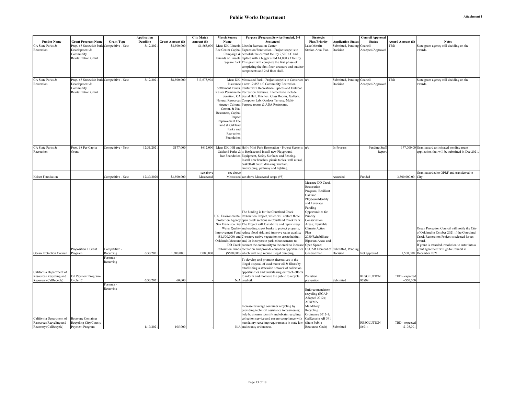|                          |                                           |                   | <b>Application</b> |                         | <b>City Match</b> | <b>Match Source</b> | Purpose (Program/Service Funded, 2-4                                                                                           | Strategic                          |                                        | Council Approval  |                          |                                                     |
|--------------------------|-------------------------------------------|-------------------|--------------------|-------------------------|-------------------|---------------------|--------------------------------------------------------------------------------------------------------------------------------|------------------------------------|----------------------------------------|-------------------|--------------------------|-----------------------------------------------------|
| <b>Funder Name</b>       | <b>Grant Program Name</b>                 | <b>Grant Type</b> | Deadline           | <b>Grant Amount (S)</b> | Amount (S)        | Name                | Sentences)                                                                                                                     | <b>Plan/Priority</b>               | <b>Application Status</b>              | <b>Status</b>     | <b>Award Amount (\$)</b> | <b>Notes</b>                                        |
| CA State Parks &         | Prop. 68 Statewide Park Competitive - New |                   | 3/12/202           | \$8,500,000             | \$1,865,000       |                     | Meas KK, Lincoln Lincoln Recreation Center                                                                                     | Lake Merritt                       | Submitted, Pending Council             |                   | TBD                      | State grant agency still deciding on the            |
| Recreation               | Development &                             |                   |                    |                         |                   |                     | Rec Center Capital Expansion/Renovation - Project scope is to                                                                  | Station Area Plan                  | Decision                               | Accepted/Approved |                          | wards.                                              |
|                          | Community                                 |                   |                    |                         |                   |                     | Campaign & demolish the current facility 7,500 s.f. and                                                                        |                                    |                                        |                   |                          |                                                     |
|                          | Revitalization Grant                      |                   |                    |                         |                   |                     | Friends of Lincoln replace with a bigger sized 14,000 s.f facility.                                                            |                                    |                                        |                   |                          |                                                     |
|                          |                                           |                   |                    |                         |                   |                     | Square Park This grant will complete the first phase of                                                                        |                                    |                                        |                   |                          |                                                     |
|                          |                                           |                   |                    |                         |                   |                     | completing the first floor structure and outdoor                                                                               |                                    |                                        |                   |                          |                                                     |
|                          |                                           |                   |                    |                         |                   |                     | components and 2nd floor shell.                                                                                                |                                    |                                        |                   |                          |                                                     |
|                          |                                           |                   |                    |                         |                   |                     |                                                                                                                                |                                    |                                        |                   |                          |                                                     |
| CA State Parks &         | Prop. 68 Statewide Park Competitive - New |                   | 3/12/202           | \$8,500,000             | \$13,673,902      |                     | Meas KK, Mosswood Park - Project scope is to Construct n/a                                                                     |                                    | Submitted, Pending Council<br>Decision |                   | TBD                      | State grant agency still deciding on the<br>awards. |
| Recreation               | Development &<br>Community                |                   |                    |                         |                   |                     | Insurance a new 12,858 s.f. Community Recreation<br>Settlement Funds, Center with Recreational Spaces and Outdoor              |                                    |                                        | Accepted/Approved |                          |                                                     |
|                          | Revitalization Grant                      |                   |                    |                         |                   |                     | Kaiser Permanente Recreation Features. Elements to include                                                                     |                                    |                                        |                   |                          |                                                     |
|                          |                                           |                   |                    |                         |                   |                     | donation, CA Social Hall, Kitchen, Class Rooms, Gallery,                                                                       |                                    |                                        |                   |                          |                                                     |
|                          |                                           |                   |                    |                         |                   |                     | Natural Resources Computer Lab, Outdoor Terrace, Multi-                                                                        |                                    |                                        |                   |                          |                                                     |
|                          |                                           |                   |                    |                         |                   |                     | Agency Cultural Purpose rooms & ADA Restrooms.                                                                                 |                                    |                                        |                   |                          |                                                     |
|                          |                                           |                   |                    |                         |                   | Comm. & Nat.        |                                                                                                                                |                                    |                                        |                   |                          |                                                     |
|                          |                                           |                   |                    |                         |                   | Resources, Capital  |                                                                                                                                |                                    |                                        |                   |                          |                                                     |
|                          |                                           |                   |                    |                         |                   | Impact              |                                                                                                                                |                                    |                                        |                   |                          |                                                     |
|                          |                                           |                   |                    |                         |                   | Improvement Fee     |                                                                                                                                |                                    |                                        |                   |                          |                                                     |
|                          |                                           |                   |                    |                         |                   | Fund & Oakland      |                                                                                                                                |                                    |                                        |                   |                          |                                                     |
|                          |                                           |                   |                    |                         |                   | Parks and           |                                                                                                                                |                                    |                                        |                   |                          |                                                     |
|                          |                                           |                   |                    |                         |                   | Recreation          |                                                                                                                                |                                    |                                        |                   |                          |                                                     |
|                          |                                           |                   |                    |                         |                   | Foundation          |                                                                                                                                |                                    |                                        |                   |                          |                                                     |
|                          |                                           |                   |                    |                         |                   |                     |                                                                                                                                |                                    |                                        |                   |                          |                                                     |
| CA State Parks &         | Prop. 68 Per Capita                       | Competitive - New | 12/31/202          | \$177,000               |                   |                     | \$612,000 Meas KK, HH and Holly Mini Park Renovation - Project Scope is  n/a                                                   |                                    | In-Process                             | Pending Staff     |                          | 177,000.00 Grant award anticipated pending grant    |
| Recreation               | Grant                                     |                   |                    |                         |                   |                     | Oakland Parks & to Replace and install new Playground                                                                          |                                    |                                        | Repor             |                          | application that will be submitted in Dec 2021      |
|                          |                                           |                   |                    |                         |                   |                     | Rec Foundation Equipment, Safety Surfaces and Fencing.                                                                         |                                    |                                        |                   |                          |                                                     |
|                          |                                           |                   |                    |                         |                   |                     | Install new benches, picnic tables, wall mural,                                                                                |                                    |                                        |                   |                          |                                                     |
|                          |                                           |                   |                    |                         |                   |                     | basketball court, drinking fountain,                                                                                           |                                    |                                        |                   |                          |                                                     |
|                          |                                           |                   |                    |                         |                   |                     | landscaping, pathway and lighting.                                                                                             |                                    |                                        |                   |                          |                                                     |
|                          |                                           |                   |                    |                         | see above         | see above           |                                                                                                                                |                                    |                                        |                   |                          | Grant awarded to OPRF and transferred to            |
| Kaiser Foundation        |                                           | Competitive - New | 12/30/2020         | \$3,500,000             | Mosswood          |                     | Mosswood see above Mosswood scope (#3)                                                                                         |                                    | Awarded                                | Funded            | 3,500,000.00 City        |                                                     |
|                          |                                           |                   |                    |                         |                   |                     |                                                                                                                                | Measure DD Creek                   |                                        |                   |                          |                                                     |
|                          |                                           |                   |                    |                         |                   |                     |                                                                                                                                | Restoration                        |                                        |                   |                          |                                                     |
|                          |                                           |                   |                    |                         |                   |                     |                                                                                                                                | Program; Resilient                 |                                        |                   |                          |                                                     |
|                          |                                           |                   |                    |                         |                   |                     |                                                                                                                                | Oakland                            |                                        |                   |                          |                                                     |
|                          |                                           |                   |                    |                         |                   |                     |                                                                                                                                | Playbook/Identify                  |                                        |                   |                          |                                                     |
|                          |                                           |                   |                    |                         |                   |                     |                                                                                                                                | and Leverage                       |                                        |                   |                          |                                                     |
|                          |                                           |                   |                    |                         |                   |                     |                                                                                                                                | Funding                            |                                        |                   |                          |                                                     |
|                          |                                           |                   |                    |                         |                   |                     | The funding is for the Courtland Creek                                                                                         | Opportunities for                  |                                        |                   |                          |                                                     |
|                          |                                           |                   |                    |                         |                   |                     | U.S. Environmental Restoration Project, which will restore three                                                               | Priority                           |                                        |                   |                          |                                                     |
|                          |                                           |                   |                    |                         |                   |                     | Protection Agency open creek sections in Courtland Creek Park.                                                                 | Conservation                       |                                        |                   |                          |                                                     |
|                          |                                           |                   |                    |                         |                   |                     | San Francisco Bay The Project will 1) stabilize and repair steep<br>Water Quality and eroding creek banks to protect property, | Areas; Equitable<br>Climate Action |                                        |                   |                          | Ocean Protection Council will notify the City       |
|                          |                                           |                   |                    |                         |                   |                     | Improvement Fund reduce flood risk, and improve water quality;                                                                 | Plan                               |                                        |                   |                          | of Oakland in October 2021 if the Courtland         |
|                          |                                           |                   |                    |                         |                   |                     | $(1,500,000)$ and 2) restore native vegetation to create habitat;                                                              | 2030/Rehabilitate                  |                                        |                   |                          | Creek Restoration Project is selected for an        |
|                          |                                           |                   |                    |                         |                   |                     | Oakland's Measure and, 3) incorporate park enhancements to                                                                     | Riparian Areas and                 |                                        |                   |                          | award.                                              |
|                          |                                           |                   |                    |                         |                   |                     | DD Creek connect the community to the creek to increase Open Space;                                                            |                                    |                                        |                   |                          | If grant is awarded, resolution to enter into a     |
|                          | Proposition 1 Grant                       | Competitive -     |                    |                         |                   |                     | Restoration Funds recreation and provide education opportunities                                                               | OSCAR Element of                   | Submitted, Pending                     |                   |                          | grant agreement will go to Council in               |
| Ocean Protection Council | Program                                   | Recurring         | 6/30/202           | 1,500,000               | 2,000,000         |                     | (\$500,000) which will help reduce illegal dumping.                                                                            | General Plan                       | Decision                               | Not approved      |                          | 1,500,000 December 2021.                            |
|                          |                                           | Formula -         |                    |                         |                   |                     | To develop and promote alternatives to the                                                                                     |                                    |                                        |                   |                          |                                                     |
|                          |                                           | Recurring         |                    |                         |                   |                     | illegal disposal of used motor oil & filters by                                                                                |                                    |                                        |                   |                          |                                                     |
|                          |                                           |                   |                    |                         |                   |                     | establishing a statewide network of collection                                                                                 |                                    |                                        |                   |                          |                                                     |
| California Department of |                                           |                   |                    |                         |                   |                     | opportunities and undertaking outreach efforts                                                                                 |                                    |                                        |                   |                          |                                                     |
| Resources Recycling and  | Oil Payment Program-                      |                   |                    |                         |                   |                     | to inform and motivate the public to recycle                                                                                   | Pollution                          |                                        | RESOLUTION        | TBD - expected           |                                                     |
| Recovery (CalRecycle)    | Cycle 12                                  |                   | 6/30/202           | 60,000                  |                   |                     | N/A used oil.                                                                                                                  | prevention                         | Submitted                              | 82899             | ~560,000                 |                                                     |
|                          |                                           | Formula -         |                    |                         |                   |                     |                                                                                                                                |                                    |                                        |                   |                          |                                                     |
|                          |                                           | Recurring         |                    |                         |                   |                     |                                                                                                                                | Enforce mandatory                  |                                        |                   |                          |                                                     |
|                          |                                           |                   |                    |                         |                   |                     |                                                                                                                                | recycling (ECAP                    |                                        |                   |                          |                                                     |
|                          |                                           |                   |                    |                         |                   |                     |                                                                                                                                | Adopted 2012);                     |                                        |                   |                          |                                                     |
|                          |                                           |                   |                    |                         |                   |                     |                                                                                                                                | <b>ACWMA</b>                       |                                        |                   |                          |                                                     |
|                          |                                           |                   |                    |                         |                   |                     | Increase beverage container recycling by                                                                                       | Mandatory                          |                                        |                   |                          |                                                     |
|                          |                                           |                   |                    |                         |                   |                     | providing technical assistance to businesses;                                                                                  | Recycling                          |                                        |                   |                          |                                                     |
|                          |                                           |                   |                    |                         |                   |                     | help businesses identify and obtain recycling                                                                                  | Ordinance 2012-1;                  |                                        |                   |                          |                                                     |
| California Department of | <b>Beverage Container</b>                 |                   |                    |                         |                   |                     | collection service and ensure compliance with                                                                                  | CalRecycle AB 341                  |                                        |                   |                          |                                                     |
| Resources Recycling and  | Recycling City/County                     |                   |                    |                         |                   |                     | mandatory recycling requirements in state law                                                                                  | (State Public                      |                                        | <b>RESOLUTION</b> | TBD - expected           |                                                     |
| Recovery (CalRecycle)    | Payment Program                           |                   | 1/19/2021          | 105,000                 |                   |                     | N/A and county ordinances.                                                                                                     | Resources Code)                    | Submitted                              | 86914             | ~5105.001                |                                                     |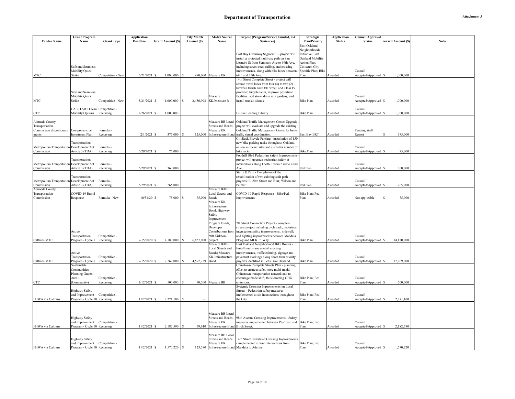| <b>Funder Name</b>                         | <b>Grant Program</b><br>Name               | <b>Grant Type</b>          | <b>Application</b><br>Deadline | <b>Grant Amount (\$)</b> | <b>City Match</b><br>Amount (\$) | <b>Match Source</b><br>Name       | Purpose (Program/Service Funded, 2-4<br>Sentences)                                           | <b>Strategic</b><br><b>Plan/Priority</b> | <b>Application</b><br><b>Status</b> | C <b>ouncil Approval</b><br><b>Status</b><br>Award Amount (\$) | <b>Notes</b> |
|--------------------------------------------|--------------------------------------------|----------------------------|--------------------------------|--------------------------|----------------------------------|-----------------------------------|----------------------------------------------------------------------------------------------|------------------------------------------|-------------------------------------|----------------------------------------------------------------|--------------|
|                                            |                                            |                            |                                |                          |                                  |                                   |                                                                                              | East Oakland                             |                                     |                                                                |              |
|                                            |                                            |                            |                                |                          |                                  |                                   |                                                                                              | Neighborhoods                            |                                     |                                                                |              |
|                                            |                                            |                            |                                |                          |                                  |                                   | East Bay Greenway Segment II - project will                                                  | Initiative; East                         |                                     |                                                                |              |
|                                            |                                            |                            |                                |                          |                                  |                                   | install a protected multi-use path on San                                                    | Oakland Mobility                         |                                     |                                                                |              |
|                                            |                                            |                            |                                |                          |                                  |                                   | candro St from Seminary Ave to 69th Ave,                                                     | Action Plan;                             |                                     |                                                                |              |
|                                            | Safe and Seamless<br><b>Mobility Quick</b> |                            |                                |                          |                                  |                                   | including street trees, railing, and crossing<br>improvements, along with bike lanes between | Coliseum City<br>Specific Plan; Bike     |                                     | Council                                                        |              |
| MTC                                        | Strike                                     | Competitive - New          | $5/21/2021$ \$                 | 1,000,000                |                                  | 990,000 Measure KK                | 69th and 75th Ave.                                                                           | Plan                                     | Awarded                             | 1,000,000<br>Accepted/Approved \$                              |              |
|                                            |                                            |                            |                                |                          |                                  |                                   | 4th Street Complete Street - project will                                                    |                                          |                                     |                                                                |              |
|                                            |                                            |                            |                                |                          |                                  |                                   | reduce travel lanes from four (4) to two (2)                                                 |                                          |                                     |                                                                |              |
|                                            |                                            |                            |                                |                          |                                  |                                   | between Brush and Oak Street, add Class IV                                                   |                                          |                                     |                                                                |              |
|                                            | Safe and Seamless                          |                            |                                |                          |                                  |                                   | protected bicycle lanes, improve pedestrian                                                  |                                          |                                     |                                                                |              |
|                                            | Mobility Quick                             |                            |                                |                          |                                  | Mesaure                           | facilities, add storm drain rain gardens, and                                                |                                          |                                     | Council                                                        |              |
| MTC                                        | Strike                                     | Competitive - New          | $5/21/2021$ \$                 | 1,000,000                | 2,456,998                        | KK/Measure B                      | install transit islands.                                                                     | <b>Bike Plan</b>                         | Awarded                             | 1,000,000<br>Accepted/Approved \$                              |              |
|                                            | CALSTART Clean Competitive -               |                            |                                |                          |                                  |                                   |                                                                                              |                                          |                                     | Council                                                        |              |
| CTC                                        | Mobility Options Recurring                 |                            | 2/26/2021 \$                   | 1,000,000                |                                  |                                   | -Bike Lending Library                                                                        | <b>Bike Plan</b>                         | Awarded                             | 1,000,000<br>Accepted/Approved \$                              |              |
|                                            |                                            |                            |                                |                          |                                  |                                   |                                                                                              |                                          |                                     |                                                                |              |
| Alameda County                             |                                            |                            |                                |                          |                                  | Measure BB Local                  | Oakland Traffic Management Center Upgrade                                                    |                                          |                                     |                                                                |              |
| Transportation                             |                                            |                            |                                |                          |                                  | Streets and Roads;                | project will evaluate and upgrade the existing                                               |                                          |                                     |                                                                |              |
| Commission discretionary                   | Comprehensive                              | Formula -                  |                                |                          |                                  | Measure KK                        | Oakland Traffic Management Center for better                                                 |                                          |                                     | Pending Staff                                                  |              |
| grants                                     | Investment Plan                            | Recurring                  | $2/1/2021$ \$                  | 375,000                  |                                  | 125,000 Infrastructure Bond       | traffic signal coordination.                                                                 | East Bay BRT                             | Awarded                             | 375,000<br>Report                                              |              |
|                                            | Transportation                             |                            |                                |                          |                                  |                                   | CityRack Bicycle Parking - installation of 150<br>new bike parking racks throughout Oakland, |                                          |                                     |                                                                |              |
| Metropolitan Tranportation Development Act |                                            | Formula -                  |                                |                          |                                  |                                   | or new e-Locker sites and a smaller number of                                                |                                          |                                     | Council                                                        |              |
| Commission                                 | Article 3 (TDA)                            | Recurring                  | $5/29/2021$ \$                 | 75,000                   |                                  |                                   | bike racks.                                                                                  | <b>Bike Plan</b>                         | Awarded                             | 75,000<br>Accepted/Approved \$                                 |              |
|                                            |                                            |                            |                                |                          |                                  |                                   | Foothill Blvd Pedestrian Safety Improvements                                                 |                                          |                                     |                                                                |              |
|                                            | Transportation                             |                            |                                |                          |                                  |                                   | project will upgrade pedestrian safety at                                                    |                                          |                                     |                                                                |              |
| Metropolitan Tranportation Development Act |                                            | Formula ·                  |                                |                          |                                  |                                   | intersections along Foothill from 23rd to 42nd                                               |                                          |                                     | Council                                                        |              |
| Commission                                 | Article 3 (TDA)                            | Recurring                  | $5/29/2021$ \$                 | 360,000                  |                                  |                                   | Ave.                                                                                         | Ped Plan                                 | Awarded                             | 360,000<br>Accepted/Approved \$                                |              |
|                                            |                                            |                            |                                |                          |                                  |                                   | Stairs & Path - Completion of the                                                            |                                          |                                     |                                                                |              |
| Metropolitan Tranportation Development Act | Transportation                             | Formula ·                  |                                |                          |                                  |                                   | rehabilitation of two existing stair path<br>projects: E. 20th Street and Burr, Wilson and   |                                          |                                     | Council                                                        |              |
| Commission                                 | Article 3 (TDA)                            | Recurring                  | 5/29/2021 \$                   | 265,000                  |                                  |                                   | Palmer.                                                                                      | Ped Plan                                 | Awarded                             | Accepted/Approved \$<br>265,000                                |              |
| Alameda County                             |                                            |                            |                                |                          |                                  | Measure B/BB                      |                                                                                              |                                          |                                     |                                                                |              |
| Transportation                             | COVID-19 Rapid                             |                            |                                |                          |                                  | Local Streets and                 | COVID-19 Rapid Response - Bike/Ped                                                           | Bike Plan; Ped                           |                                     |                                                                |              |
| Commission                                 | Response                                   | Formula - New              | $10/31/20$ \$                  | 75,000                   | 75,000                           | Roads                             | <i>mprovements</i>                                                                           | Plan                                     | Awarded                             | 75,000<br>Not applicable                                       |              |
|                                            |                                            |                            |                                |                          |                                  | Measure KK                        |                                                                                              |                                          |                                     |                                                                |              |
|                                            |                                            |                            |                                |                          |                                  | Infrastructure                    |                                                                                              |                                          |                                     |                                                                |              |
|                                            |                                            |                            |                                |                          |                                  | Bond, Highway<br>Safety           |                                                                                              |                                          |                                     |                                                                |              |
|                                            |                                            |                            |                                |                          |                                  | Improvement                       |                                                                                              |                                          |                                     |                                                                |              |
|                                            |                                            |                            |                                |                          |                                  | Program Funds,                    | 7th Street Connection Project - complete                                                     |                                          |                                     |                                                                |              |
|                                            |                                            |                            |                                |                          |                                  | Developer                         | streets project including cycletrack, pedestrian                                             |                                          |                                     |                                                                |              |
|                                            | Active                                     |                            |                                |                          |                                  | Contributions from                | intersection safety improvements, sidewalk                                                   |                                          |                                     |                                                                |              |
|                                            | Transportation                             | Competitive -              |                                |                          |                                  | 500 Kirkham                       | and lighting improvements between Mandela                                                    |                                          |                                     | Council                                                        |              |
| Caltrans/MTC                               | Program - Cycle 5 Recurring                |                            | $9/15/2020$ \$                 | 14,180,000               | 6,857,000                        | project                           | Pkwy and MLK Jr. Way                                                                         | <b>Bike Plan</b>                         | Awarded                             | 14,180,000<br>Accepted/Approved \$                             |              |
|                                            |                                            |                            |                                |                          |                                  | Measure B/BB<br>Local Streets and | last Oakland Neighborhood Bike Routes -<br>nstall multi-lane arterial crossing               |                                          |                                     |                                                                |              |
|                                            | Active                                     |                            |                                |                          |                                  | Roads; Measure                    | mprovements, traffic calming, signage and                                                    |                                          |                                     |                                                                |              |
|                                            | Transportation                             | Competitive -              |                                |                          |                                  | <b>KK</b> Infrastructure          | pavement markings along short-term priority                                                  |                                          |                                     | Council                                                        |              |
| Caltrans/MTC                               | Program - Cycle 5                          | Recurring                  | $9/15/2020$ \$                 | 17,269,000               | 4,592,239                        | Bond                              | projects identified in Let's Bike Oakland.                                                   | <b>Bike Plan</b>                         | Awarded                             | 17,269,000<br>Accepted/Approved \$                             |              |
|                                            | Sustainable                                |                            |                                |                          |                                  |                                   | Chinatown Complete Streets Plan - planning                                                   |                                          |                                     |                                                                |              |
|                                            | Communities                                |                            |                                |                          |                                  |                                   | effort to create a safer, more multi-modal                                                   |                                          |                                     |                                                                |              |
|                                            | <b>Planning Grants</b>                     |                            |                                |                          |                                  |                                   | Chinatown transportation network and to                                                      |                                          |                                     |                                                                |              |
| CTC                                        | Area 1<br>(Community)                      | Competitive -<br>Recurring | $2/12/2021$ \$                 | 500,000                  |                                  | 70,500 Measure BB                 | encourage mode shift, thus lowering GHG<br>emissions                                         | Bike Plan; Ped<br>Plan                   | Awarded                             | Council<br>500,000<br>Accepted/Approved \$                     |              |
|                                            |                                            |                            |                                |                          |                                  |                                   | Systemic Crossing Improvements on Local                                                      |                                          |                                     |                                                                |              |
|                                            | <b>Highway Safety</b>                      |                            |                                |                          |                                  |                                   | Streets - Pedestrian safety measures                                                         |                                          |                                     |                                                                |              |
|                                            | and Improvement                            | Competitive -              |                                |                          |                                  |                                   | implemented at six intersections throughout                                                  | Bike Plan; Ped                           |                                     | Council                                                        |              |
| FHWA via Caltrans                          | Program - Cycle 10 Recurring               |                            | $11/2/2021$ \$                 | 2,271,100                |                                  |                                   | the City.                                                                                    | Plan                                     | Awarded                             | 2,271,100<br>Accepted/Approved \$                              |              |
|                                            |                                            |                            |                                |                          |                                  |                                   |                                                                                              |                                          |                                     |                                                                |              |
|                                            |                                            |                            |                                |                          |                                  |                                   |                                                                                              |                                          |                                     |                                                                |              |
|                                            |                                            |                            |                                |                          |                                  | Measure BB Local                  |                                                                                              |                                          |                                     |                                                                |              |
|                                            | <b>Highway Safety</b>                      |                            |                                |                          |                                  | Streets and Roads;                | 98th Avenue Crossing Improvements - Safety                                                   |                                          |                                     |                                                                |              |
|                                            | and Improvement                            | Competitive -              |                                |                          |                                  | Measure KK                        | neasures implemented between Pearmain and                                                    | Bike Plan; Ped<br>Plan                   |                                     | Council                                                        |              |
| FHWA via Caltrans                          | Program - Cycle 10 Recurring               |                            | $11/2/2021$ \$                 | 2,182,590                | 59,610                           | <b>Infrastructure Bond</b>        | <b>Birch Street</b>                                                                          |                                          | Awarded                             | 2,182,590<br>Accepted/Approved \$                              |              |
|                                            |                                            |                            |                                |                          |                                  | Measure BB Local                  |                                                                                              |                                          |                                     |                                                                |              |
|                                            | <b>Highway Safety</b>                      |                            |                                |                          |                                  | <b>Streets and Roads;</b>         | 4th Street Pedestrian Crossing Improvements                                                  |                                          |                                     |                                                                |              |
|                                            | and Improvement Competitive -              |                            |                                |                          |                                  | Measure KK                        | implemented at four intersections from                                                       | Bike Plan; Ped                           |                                     | Council                                                        |              |
| FHWA via Caltrans                          | Program - Cycle 10 Recurring               |                            | $11/2/2021$ \$                 | 1,570,220                |                                  | 123,580 Infrastructure Bond       | Mandela to Adeline.                                                                          | Plan                                     | Awarded                             | 1,570,220<br>Accepted/Approved \$                              |              |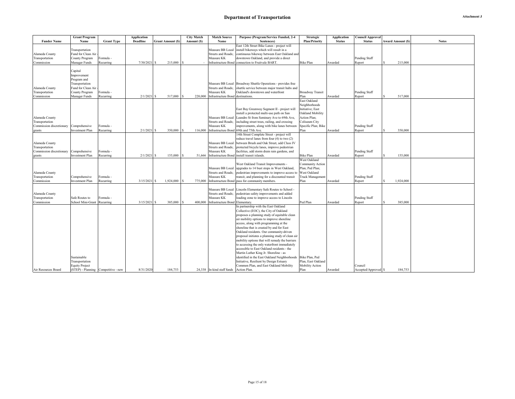|                          | <b>Grant Program</b>                |                   | <b>Application</b> |                          | <b>City Match</b>  | <b>Match Source</b>              | Purpose (Program/Service Funded, 2-4                                          | <b>Strategic</b>        | <b>Application</b> | <b>Council Approval</b> |   |                         |              |
|--------------------------|-------------------------------------|-------------------|--------------------|--------------------------|--------------------|----------------------------------|-------------------------------------------------------------------------------|-------------------------|--------------------|-------------------------|---|-------------------------|--------------|
| <b>Funder Name</b>       | Name                                | <b>Grant Type</b> | <b>Deadline</b>    | <b>Grant Amount (\$)</b> | Amount (S)         | Name                             | Sentences)                                                                    | <b>Plan/Priority</b>    | <b>Status</b>      | <b>Status</b>           |   | <b>Award Amount (S)</b> | <b>Notes</b> |
|                          |                                     |                   |                    |                          |                    |                                  | East 12th Street Bike Lanes - project will                                    |                         |                    |                         |   |                         |              |
|                          | Transportation                      |                   |                    |                          |                    | Measure BB Local                 | install bikeways which will result in a                                       |                         |                    |                         |   |                         |              |
| Alameda County           | Fund for Clean Air                  |                   |                    |                          |                    | <b>Streets and Roads:</b>        | continuous bikeway between East Oakland and                                   |                         |                    |                         |   |                         |              |
| Transportation           | County Program                      | Formula -         |                    |                          |                    | Measure KK                       | downtown Oakland, and provide a direct                                        |                         |                    | Pending Staff           |   |                         |              |
| Commission               | Manager Funds                       | Recurring         | $7/30/2021$ \$     | 215,000                  | $\mathbf{\hat{s}}$ |                                  | Infrastructure Bond connection to Fruitvale BART.                             | <b>Bike Plan</b>        | Awarded            | Report                  |   | 215,000                 |              |
|                          |                                     |                   |                    |                          |                    |                                  |                                                                               |                         |                    |                         |   |                         |              |
|                          | Capital                             |                   |                    |                          |                    |                                  |                                                                               |                         |                    |                         |   |                         |              |
|                          | Improvement                         |                   |                    |                          |                    |                                  |                                                                               |                         |                    |                         |   |                         |              |
|                          | Program and                         |                   |                    |                          |                    |                                  |                                                                               |                         |                    |                         |   |                         |              |
|                          | Transportation                      |                   |                    |                          |                    |                                  | Measure BB Local   Broadway Shuttle Operations - provides free                |                         |                    |                         |   |                         |              |
| Alameda County           | Fund for Clean Air                  |                   |                    |                          |                    | <b>Streets and Roads:</b>        | shuttle service between major transit hubs and                                |                         |                    |                         |   |                         |              |
| Transportation           | County Program                      | Formula           |                    |                          |                    | Measure KK                       | Oakland's downtown and waterfront                                             | <b>Broadway Transit</b> |                    | Pending Staff           |   |                         |              |
| Commission               | Manager Funds                       | Recurring         | $2/1/2021$ \$      | 517,000                  | 220,000            | Infrastructure Bond destinations |                                                                               | Plan                    | Awarded            | Report                  |   | 517,000                 |              |
|                          |                                     |                   |                    |                          |                    |                                  |                                                                               | East Oakland            |                    |                         |   |                         |              |
|                          |                                     |                   |                    |                          |                    |                                  |                                                                               | Neighborhoods           |                    |                         |   |                         |              |
|                          |                                     |                   |                    |                          |                    |                                  | East Bay Greenway Segment II - project will                                   | Initiative; East        |                    |                         |   |                         |              |
|                          |                                     |                   |                    |                          |                    |                                  | install a protected multi-use path on San                                     | Oakland Mobility        |                    |                         |   |                         |              |
| Alameda County           |                                     |                   |                    |                          |                    | Measure BB Local                 | Leandro St from Seminary Ave to 69th Ave,                                     | Action Plan;            |                    |                         |   |                         |              |
| Transportation           |                                     |                   |                    |                          |                    | <b>Streets and Roads:</b>        | including street trees, railing, and crossing                                 | Coliseum City           |                    |                         |   |                         |              |
| Commission discretionary | Comprehensive                       | Formula           |                    |                          |                    | Measure KK                       | improvements, along with bike lanes between                                   | Specific Plan; Bike     |                    | Pending Staff           |   |                         |              |
| grants                   | <b>Investment Plan</b>              | Recurring         | $2/1/2021$ \$      | 350,000                  | 116,000            | <b>Infrastructure Bond</b>       | 69th and 75th Ave.                                                            | Plan                    | Awarded            | Report                  |   | 350,000                 |              |
|                          |                                     |                   |                    |                          |                    |                                  | 14th Street Complete Street - project will                                    |                         |                    |                         |   |                         |              |
|                          |                                     |                   |                    |                          |                    |                                  | reduce travel lanes from four (4) to two (2)                                  |                         |                    |                         |   |                         |              |
| Alameda County           |                                     |                   |                    |                          |                    | Measure BB Local                 | between Brush and Oak Street, add Class IV                                    |                         |                    |                         |   |                         |              |
| Transportation           |                                     |                   |                    |                          |                    | <b>Streets and Roads:</b>        | protected bicycle lanes, improve pedestrian                                   |                         |                    |                         |   |                         |              |
| Commission discretionary | Comprehensive                       | Formula           |                    |                          |                    | Measure KK                       | facilities, add storm drain rain gardens, and                                 |                         |                    | Pending Staff           |   |                         |              |
| grants                   | <b>Investment Plan</b>              | Recurring         | $2/1/2021$ \$      | 155,000                  | 51,666             | <b>Infrastructure Bond</b>       | install transit islands                                                       | <b>Bike Plan</b>        | Awarded            | Report                  |   | 155,000                 |              |
|                          |                                     |                   |                    |                          |                    |                                  |                                                                               | West Oakland            |                    |                         |   |                         |              |
|                          |                                     |                   |                    |                          |                    |                                  | West Oakland Transit Improvements -                                           | Community Action        |                    |                         |   |                         |              |
|                          |                                     |                   |                    |                          |                    | Measure BB Local                 | upgrades to 14 bust stops in West Oakland,                                    | Plan; Ped Plan;         |                    |                         |   |                         |              |
| Alameda County           |                                     |                   |                    |                          |                    | <b>Streets and Roads:</b>        | pedestrian improvements to improve access to                                  | West Oakland            |                    |                         |   |                         |              |
| Transportation           | Comprehensive                       | Formula -         |                    | 1,924,000                |                    | Measure KK                       | transit, and planning for a discounted transit<br>pass for community members. | Truck Management        |                    | Pending Staff           | S |                         |              |
| Commission               | <b>Investment Plan</b>              | Recurring         | $3/15/2021$ \$     |                          | 775,000            | <b>Infrastructure Bond</b>       |                                                                               | Plan                    | Awarded            | Report                  |   | 1,924,000               |              |
|                          |                                     |                   |                    |                          |                    | Measure BB Local                 | Lincoln Elementary Safe Routes to School -                                    |                         |                    |                         |   |                         |              |
| Alameda County           |                                     |                   |                    |                          |                    | <b>Streets and Roads:</b>        | pedestrian safety improvements and added                                      |                         |                    |                         |   |                         |              |
| Transportation           | Safe Routes to                      | Formula -         |                    |                          |                    | Measure KK                       | loading zone to improve access to Lincoln                                     |                         |                    | Pending Staff           |   |                         |              |
| Commission               | School Mini-Grant                   | Recurring         | $3/15/2021$ \$     | 385,000                  | 400,000            | <b>Infrastructure Bond</b>       | Elementary.                                                                   | Ped Plan                | Awarded            | Report                  |   | 385,000                 |              |
|                          |                                     |                   |                    |                          |                    |                                  | In partnership with the East Oakland                                          |                         |                    |                         |   |                         |              |
|                          |                                     |                   |                    |                          |                    |                                  | Collective (EOC), the City of Oakland                                         |                         |                    |                         |   |                         |              |
|                          |                                     |                   |                    |                          |                    |                                  | proposes a planning study of equitable clean                                  |                         |                    |                         |   |                         |              |
|                          |                                     |                   |                    |                          |                    |                                  | air mobility options to improve shoreline                                     |                         |                    |                         |   |                         |              |
|                          |                                     |                   |                    |                          |                    |                                  | access, along with programming at the                                         |                         |                    |                         |   |                         |              |
|                          |                                     |                   |                    |                          |                    |                                  | shoreline that is created by and for East                                     |                         |                    |                         |   |                         |              |
|                          |                                     |                   |                    |                          |                    |                                  | Oakland residents. Our community-driven                                       |                         |                    |                         |   |                         |              |
|                          |                                     |                   |                    |                          |                    |                                  | proposal initiates a planning study of clean air                              |                         |                    |                         |   |                         |              |
|                          |                                     |                   |                    |                          |                    |                                  | mobility options that will remedy the barriers                                |                         |                    |                         |   |                         |              |
|                          |                                     |                   |                    |                          |                    |                                  | to accessing the only waterfront immediately                                  |                         |                    |                         |   |                         |              |
|                          |                                     |                   |                    |                          |                    |                                  | accessible to East Oakland residents - the                                    |                         |                    |                         |   |                         |              |
|                          |                                     |                   |                    |                          |                    |                                  | Martin Luther King Jr. Shoreline - as                                         |                         |                    |                         |   |                         |              |
|                          | Sustainable                         |                   |                    |                          |                    |                                  | identified in the East Oakland Neighborhoods                                  | Bike Plan, Ped          |                    |                         |   |                         |              |
|                          | Transportation                      |                   |                    |                          |                    |                                  | Initiative, Resilient by Design Estuary                                       | Plan, East Oakland      |                    |                         |   |                         |              |
|                          | <b>Equity Project</b>               |                   |                    |                          |                    |                                  | Common Plan, and East Oakland Mobility                                        | Mobility Action         |                    | Council                 |   |                         |              |
| Air Resources Board      | (STEP) - Planning Competitive - new |                   | 8/31/2020          | 184,753                  |                    | 24,338 In-kind staff funds       | Action Plan.                                                                  | Plan                    | Awarded            | Accepted/Approved \$    |   | 184,753                 |              |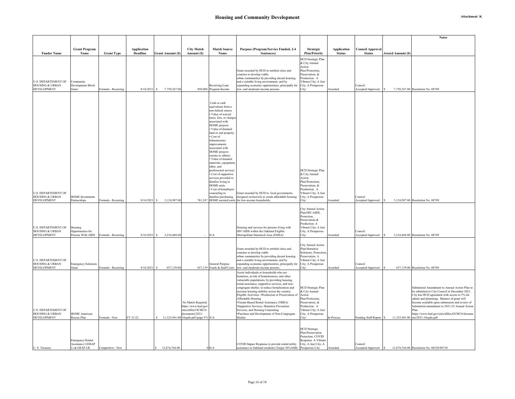| Attachment K |  |
|--------------|--|
|--------------|--|

|                                                          |                                               |                     |                                       |                              |                                                             |                                                |                                                                                                    |                                             |                                     |                                          |                          | <b>Notes</b>                                                                                     |
|----------------------------------------------------------|-----------------------------------------------|---------------------|---------------------------------------|------------------------------|-------------------------------------------------------------|------------------------------------------------|----------------------------------------------------------------------------------------------------|---------------------------------------------|-------------------------------------|------------------------------------------|--------------------------|--------------------------------------------------------------------------------------------------|
|                                                          |                                               |                     |                                       |                              |                                                             |                                                |                                                                                                    |                                             |                                     |                                          |                          |                                                                                                  |
| <b>Funder Name</b>                                       | <b>Grant Program</b><br>Name                  | <b>Grant Type</b>   | <b>Application</b><br><b>Deadline</b> | Grant Amount (\$)            | <b>City Match</b><br>Amount (\$)                            | <b>Match Source</b><br>Name                    | Purpose (Program/Service Funded, 2-4<br>Sentences)                                                 | Strategic<br><b>Plan/Priority</b>           | <b>Application</b><br><b>Status</b> | <b>Council Approval</b><br><b>Status</b> | <b>Award Amount (\$)</b> |                                                                                                  |
|                                                          |                                               |                     |                                       |                              |                                                             |                                                |                                                                                                    | HCD Strategic Plan                          |                                     |                                          |                          |                                                                                                  |
|                                                          |                                               |                     |                                       |                              |                                                             |                                                |                                                                                                    | & City Annual                               |                                     |                                          |                          |                                                                                                  |
|                                                          |                                               |                     |                                       |                              |                                                             |                                                | Grant awarded by HUD to entitled cities and                                                        | Action<br>Plan/Protection,                  |                                     |                                          |                          |                                                                                                  |
|                                                          |                                               |                     |                                       |                              |                                                             |                                                | counties to develop viable<br>urban communities by providing decent housing                        | Preservation, &<br>Production. A            |                                     |                                          |                          |                                                                                                  |
| <b>U.S. DEPARTEMENT OF</b>                               | Community                                     |                     |                                       |                              |                                                             |                                                | and a suitable living environment, and by                                                          | Vibrant City; A Just                        |                                     |                                          |                          |                                                                                                  |
| <b>HOUSING &amp; URBAN</b><br><b>DEVELOPMENT</b>         | Development Block<br>Grant                    | Formula - Recurring | 8/16/2021                             | 7,750,367.00<br>-S           |                                                             | Revolving Loan<br>850,000 Program Income       | expanding economic opportunities, principally for<br>low- and moderate-income persons.             | City; A Prosperous<br>City/                 | Awarded                             | Council<br>Accepted/Approved             |                          | 7,750,367.00 Resolution No. 88709                                                                |
|                                                          |                                               |                     |                                       |                              |                                                             |                                                |                                                                                                    |                                             |                                     |                                          |                          |                                                                                                  |
|                                                          |                                               |                     |                                       |                              |                                                             | Cash or cash                                   |                                                                                                    |                                             |                                     |                                          |                          |                                                                                                  |
|                                                          |                                               |                     |                                       |                              |                                                             | equivalents from a                             |                                                                                                    |                                             |                                     |                                          |                          |                                                                                                  |
|                                                          |                                               |                     |                                       |                              |                                                             | non-federal source<br>Value of waived          |                                                                                                    |                                             |                                     |                                          |                          |                                                                                                  |
|                                                          |                                               |                     |                                       |                              |                                                             | taxes, fees, or charge<br>associated with      |                                                                                                    |                                             |                                     |                                          |                          |                                                                                                  |
|                                                          |                                               |                     |                                       |                              |                                                             | <b>HOME</b> projects                           |                                                                                                    |                                             |                                     |                                          |                          |                                                                                                  |
|                                                          |                                               |                     |                                       |                              |                                                             | Value of donated<br>land or real property      |                                                                                                    |                                             |                                     |                                          |                          |                                                                                                  |
|                                                          |                                               |                     |                                       |                              |                                                             | $\cdot$ Cost of<br>infrastructure              |                                                                                                    |                                             |                                     |                                          |                          |                                                                                                  |
|                                                          |                                               |                     |                                       |                              |                                                             | improvements                                   |                                                                                                    |                                             |                                     |                                          |                          |                                                                                                  |
|                                                          |                                               |                     |                                       |                              |                                                             | ssociated with<br><b>HOME</b> projects         |                                                                                                    |                                             |                                     |                                          |                          |                                                                                                  |
|                                                          |                                               |                     |                                       |                              |                                                             | (onsite or offsite)<br>Value of donated        |                                                                                                    |                                             |                                     |                                          |                          |                                                                                                  |
|                                                          |                                               |                     |                                       |                              |                                                             | materials, equipment                           |                                                                                                    |                                             |                                     |                                          |                          |                                                                                                  |
|                                                          |                                               |                     |                                       |                              |                                                             | labor, and<br>professional services            |                                                                                                    | HCD Strategic Plan                          |                                     |                                          |                          |                                                                                                  |
|                                                          |                                               |                     |                                       |                              |                                                             | · Cost of supportive<br>services provided to   |                                                                                                    | & City Annual<br>Action                     |                                     |                                          |                          |                                                                                                  |
|                                                          |                                               |                     |                                       |                              |                                                             | families living in<br><b>HOME</b> units        |                                                                                                    | Plan/Protection,<br>Preservation, &         |                                     |                                          |                          |                                                                                                  |
|                                                          |                                               |                     |                                       |                              |                                                             | Cost of homebuyer                              |                                                                                                    | Production. A                               |                                     |                                          |                          |                                                                                                  |
| <b>U.S. DEPARTEMENT OF</b><br><b>HOUSING &amp; URBAN</b> | <b>HOME</b> Investments                       |                     |                                       |                              |                                                             | counseling to<br>families purchasing           | Grant awarded by HUD to local governments<br>designed exclusively to create affordable housing     | Vibrant City; A Just<br>City; A Prosperous  |                                     | Council                                  |                          |                                                                                                  |
| <b>DEVELOPMENT</b>                                       | Partnerships                                  | Formula - Recurring | 8/16/2021                             | 3,124,987.00<br>-S           |                                                             |                                                | 781,247 HOME assisted units for low-income households                                              | City/                                       | warded                              | Accepted/Approved                        |                          | 3,124,987.00 Resolution No. 88709                                                                |
|                                                          |                                               |                     |                                       |                              |                                                             |                                                |                                                                                                    | City Annual Action                          |                                     |                                          |                          |                                                                                                  |
|                                                          |                                               |                     |                                       |                              |                                                             |                                                |                                                                                                    | Plan/HIV-AIDS,<br>Protection,               |                                     |                                          |                          |                                                                                                  |
|                                                          |                                               |                     |                                       |                              |                                                             |                                                |                                                                                                    | Preservation &<br>Production. A             |                                     |                                          |                          |                                                                                                  |
| <b>U.S. DEPARTEMENT OF</b>                               | Housing                                       |                     |                                       |                              |                                                             |                                                | Housing and services for persons living with                                                       | Vibrant City; A Just                        |                                     |                                          |                          |                                                                                                  |
| <b>HOUSING &amp; URBAN</b><br><b>DEVELOPMENT</b>         | Opportunities for<br>Persons With AIDS        | Formula - Recurring | 8/16/2021                             | 3,234,468.00<br>$\mathbf{s}$ |                                                             | N/A                                            | HIV/AIDS within the Oakland Eligible<br>Metropolitan Statistical Area (EMSA)                       | City; A Prosperous<br>City/                 | Awarded                             | Council<br>Accepted/Approved             |                          | 3,234,468.00 Resolution No. 88709                                                                |
|                                                          |                                               |                     |                                       |                              |                                                             |                                                |                                                                                                    |                                             |                                     |                                          |                          |                                                                                                  |
|                                                          |                                               |                     |                                       |                              |                                                             |                                                | Grant awarded by HUD to entitled cities and                                                        | City Annual Action<br>Plan/Homeless         |                                     |                                          |                          |                                                                                                  |
|                                                          |                                               |                     |                                       |                              |                                                             |                                                | counties to develop viable                                                                         | Solutions, Protection                       |                                     |                                          |                          |                                                                                                  |
| <b>U.S. DEPARTEMENT OF</b>                               |                                               |                     |                                       |                              |                                                             |                                                | urban communities by providing decent housing<br>and a suitable living environment, and by         | Preservation. A<br>Vibrant City; A Just     |                                     |                                          |                          |                                                                                                  |
| <b>HOUSING &amp; URBAN</b><br><b>DEVELOPMENT</b>         | <b>Emergency Solutions</b><br>Grant           | Formula - Recurring | 8/16/2021                             | 657,139.00                   |                                                             | General Purpose<br>657,139 Funds & Staff Costs | expanding economic opportunities, principally for<br>low- and moderate-income persons.             | City; A Prosperous<br>City/                 | <b>Awarded</b>                      | Council<br>Accepted/Approved             |                          | 657,139.00 Resolution No. 88709                                                                  |
|                                                          |                                               |                     |                                       |                              |                                                             |                                                | Assist individuals or households who are                                                           |                                             |                                     |                                          |                          |                                                                                                  |
|                                                          |                                               |                     |                                       |                              |                                                             |                                                | homeless, at risk of homelessness, and other<br>vulnerable populations, by providing housing,      |                                             |                                     |                                          |                          |                                                                                                  |
|                                                          |                                               |                     |                                       |                              |                                                             |                                                | rental assistance, supportive services, and non-<br>congregate shelter, to reduce homelessness and | HCD Strategic Plan                          |                                     |                                          |                          | Substantial Amendment to Annual Action Plan to                                                   |
|                                                          |                                               |                     |                                       |                              |                                                             |                                                | increase housing stability across the country.                                                     | & City Annual                               |                                     |                                          |                          | be submitted to City Council in December 2021.                                                   |
|                                                          |                                               |                     |                                       |                              |                                                             |                                                | Eligible Activities: .Production or Preservation of<br>Affordable Housing                          | Action<br>Plan/Protection,                  |                                     |                                          |                          | City has HUD agreement with access to 5% for<br>admin and plannning. Balance of grant will       |
|                                                          |                                               |                     |                                       |                              | No Match Required.<br>https://www.hud.gov                   |                                                | •Tenant-Based Rental Assistance (TBRA)                                                             | Preservation, &<br>Production. A            |                                     |                                          |                          | become available upon submission and review of<br>Substantial amendment to 2021/22 Annual Action |
| <b>U.S. DEPARTEMENT OF</b>                               |                                               |                     |                                       |                              | sites/dfiles/OCHCO/                                         |                                                | *Supportive Services, Homeless Prevention<br>Services, and Housing Counseling                      | Vibrant City; A Just                        |                                     |                                          |                          | Plan.                                                                                            |
| <b>HOUSING &amp; URBAN</b><br><b>DEVELOPMENT</b>         | <b>HOME American</b><br>Rescue Plan           | Formula - New       | FY 21/22                              |                              | locuments/2021-<br>\$11,325,941.00 10cpdn.pdf (page 97) N/A |                                                | ·Purchase and Development of Non-Congregate<br>Shelter.                                            | City; A Prosperous<br>City/                 | In-Process                          | Pending Staff Report                     |                          | https://www.hud.gov/sites/dfiles/OCHCO/docume<br>11,325,941.00 nts/2021-10cpdn.pdf               |
|                                                          |                                               |                     |                                       |                              |                                                             |                                                |                                                                                                    |                                             |                                     |                                          |                          |                                                                                                  |
|                                                          |                                               |                     |                                       |                              |                                                             |                                                |                                                                                                    | <b>HCD</b> Strategic                        |                                     |                                          |                          |                                                                                                  |
|                                                          |                                               |                     |                                       |                              |                                                             |                                                |                                                                                                    | Plan/Preservation<br>Protection. COVID      |                                     |                                          |                          |                                                                                                  |
|                                                          | <b>Emergency Rental</b><br>Assistance I (ERAP |                     |                                       |                              |                                                             |                                                | COVID Impact Response to provide rental/utility                                                    | Response. A Vibrant<br>City; A Just City; A |                                     | Council                                  |                          |                                                                                                  |
| U.S. Treasury                                            | 1) & ERAP I-B                                 | Competitive - New   |                                       | 12,874,764.00<br>s           |                                                             | 0 N/A                                          | assistance to Oakland residents (Target 30%AMI) Prosperous City                                    |                                             | Awarded                             | Accepted/Approved \$                     |                          | 12,874,764.00 Resolution No. 88520/88738                                                         |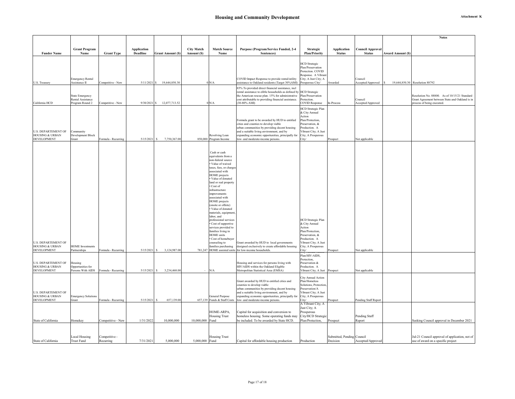|                                                                                |                                                         |                            |                                       |                            |                                  |                                                                                                                                                                                                                                                                                                                                                                                                                                                                                                                                                              |                                                                                                                                                                                                                                                                                 |                                                                                                                                                                                          |                                        |                                          | <b>Notes</b>                                                                                                                   |
|--------------------------------------------------------------------------------|---------------------------------------------------------|----------------------------|---------------------------------------|----------------------------|----------------------------------|--------------------------------------------------------------------------------------------------------------------------------------------------------------------------------------------------------------------------------------------------------------------------------------------------------------------------------------------------------------------------------------------------------------------------------------------------------------------------------------------------------------------------------------------------------------|---------------------------------------------------------------------------------------------------------------------------------------------------------------------------------------------------------------------------------------------------------------------------------|------------------------------------------------------------------------------------------------------------------------------------------------------------------------------------------|----------------------------------------|------------------------------------------|--------------------------------------------------------------------------------------------------------------------------------|
|                                                                                |                                                         |                            |                                       |                            |                                  |                                                                                                                                                                                                                                                                                                                                                                                                                                                                                                                                                              |                                                                                                                                                                                                                                                                                 |                                                                                                                                                                                          |                                        |                                          |                                                                                                                                |
| <b>Funder Name</b>                                                             | <b>Grant Program</b><br>Name                            | <b>Grant Type</b>          | <b>Application</b><br><b>Deadline</b> | <b>Grant Amount (\$)</b>   | <b>City Match</b><br>Amount (\$) | <b>Match Source</b><br>Name                                                                                                                                                                                                                                                                                                                                                                                                                                                                                                                                  | Purpose (Program/Service Funded, 2-4<br>Sentences)                                                                                                                                                                                                                              | Strategic<br><b>Plan/Priority</b>                                                                                                                                                        | <b>Application</b><br><b>Status</b>    | <b>Council Approval</b><br><b>Status</b> | <b>Award Amount (\$)</b>                                                                                                       |
| U.S. Treasury                                                                  | <b>Emergency Rental</b><br>Assistance II                | Competitive - New          | $5/11/2021$ \$                        | 19,644,850.30              |                                  | 0 N/A                                                                                                                                                                                                                                                                                                                                                                                                                                                                                                                                                        | COVID Impact Response to provide rental/utility<br>assistance to Oakland residents (Target 30%AMI) Prosperous City/                                                                                                                                                             | <b>HCD</b> Strategic<br>Plan/Preservation<br>Protection. COVID<br>Response. A Vibrant<br>City; A Just City; A                                                                            | Awarded                                | Council<br>Accepted/Approved             | 19,644,850.30 Resolution 88792                                                                                                 |
|                                                                                |                                                         |                            |                                       |                            |                                  |                                                                                                                                                                                                                                                                                                                                                                                                                                                                                                                                                              | 85% To provided direct financial assistance, incl                                                                                                                                                                                                                               |                                                                                                                                                                                          |                                        |                                          |                                                                                                                                |
| California HCD                                                                 | State Emergency<br>Rental Assistance<br>Program Round 2 | Competitive - New          |                                       | 9/30/2021 \$ 12,077,713.52 |                                  | 0 N/A                                                                                                                                                                                                                                                                                                                                                                                                                                                                                                                                                        | rental assistance to elible households as defined by<br>the American rescue plan. 15% for administrative<br>cost attributable to providing financial assistance.<br>$(30-80\% \text{ AMI})$                                                                                     | <b>HCD</b> Strategic<br>Plan/Preservation<br>Protection.<br><b>COVID Response</b>                                                                                                        | In-Process                             | Council<br>Accepted/Approved             | Resolution No. 88800. As of 10/15/21 Standard<br>Grant Agreement between State and Oakland is in<br>process of being executed. |
| <b>U.S. DEPARTEMENT OF</b><br><b>HOUSING &amp; URBAN</b><br><b>DEVELOPMENT</b> | Community<br>Development Block<br>Grant                 | Formula - Recurring        | $5/15/2021$ \$                        | 7,750,367.00               |                                  | Revolving Loan<br>850,000 Program Income                                                                                                                                                                                                                                                                                                                                                                                                                                                                                                                     | Formula grant to be awarded by HUD to entitled<br>cities and counties to develop viable<br>urban communities by providing decent housing<br>and a suitable living environment, and by<br>expanding economic opportunities, principally for<br>low- and moderate-income persons. | <b>HCD</b> Strategic Plan<br>& City Annual<br>Action<br>Plan/Protection,<br>Preservation, &<br>Production. A<br>Vibrant City; A Just<br>City; A Prosperous<br>City/                      | Prospect                               | Not applicable                           |                                                                                                                                |
| <b>U.S. DEPARTEMENT OF</b><br><b>HOUSING &amp; URBAN</b><br><b>DEVELOPMENT</b> | <b>HOME</b> Investments<br>Partnerships                 | Formula - Recurring        | 5/15/2021                             | 3,124,987.00<br>-S         |                                  | Cash or cash<br>equivalents from a<br>non-federal source<br>• Value of waived<br>taxes, fees, or charges<br>associated with<br>HOME projects<br>Value of donated<br>land or real property<br>$\bullet$ Cost of<br>infrastructure<br>improvements<br>associated with<br><b>HOME</b> projects<br>(onsite or offsite)<br>· Value of donated<br>materials, equipment<br>labor, and<br>professional services<br>Cost of supportive<br>services provided to<br>families living in<br><b>HOME</b> units<br>Cost of homebuyer<br>counseling to<br>amilies purchasing | Grant awarded by HUD to local governments<br>designed exclusively to create affordable housing<br>781,247 HOME assisted units for low-income households                                                                                                                         | <b>HCD</b> Strategic Plan<br>& City Annual<br>Action<br>Plan/Protection,<br>Preservation, &<br>Production. A<br>Vibrant City; A Just<br>City; A Prosperous<br>City/                      | Prospect                               | Not applicable                           |                                                                                                                                |
| <b>U.S. DEPARTEMENT OF</b><br><b>HOUSING &amp; URBAN</b><br><b>DEVELOPMENT</b> | Housing<br>Opportunities for<br>Persons With AIDS       | Formula - Recurring        | $5/15/2021$ \$                        | 3,234,468.00               |                                  | N/A                                                                                                                                                                                                                                                                                                                                                                                                                                                                                                                                                          | Housing and services for persons living with<br>HIV/AIDS within the Oakland Eligible<br>Metropolitan Statistical Area (EMSA)                                                                                                                                                    | Plan/HIV-AIDS,<br>Protection,<br>Preservation &<br>Production. A<br>Vibrant City; A Just                                                                                                 | Prospect                               | Not applicable                           |                                                                                                                                |
| <b>U.S. DEPARTEMENT OF</b><br><b>HOUSING &amp; URBAN</b><br><b>DEVELOPMENT</b> | <b>Emergency Solutions</b><br>Grant                     | Formula - Recurring        | 5/15/2021                             | 657,139.00<br>s            |                                  | General Purpose<br>657,139 Funds & Staff Costs<br>HOME-ARPA,                                                                                                                                                                                                                                                                                                                                                                                                                                                                                                 | Grant awarded by HUD to entitled cities and<br>counties to develop viable<br>urban communities by providing decent housing<br>and a suitable living environment, and by<br>expanding economic opportunities, principally for<br>low- and moderate-income persons.               | City Annual Action<br>Plan/Homeless<br>Solutions, Protection<br>Preservation/A<br>Vibrant City; A Just<br>City; A Prosperous<br>City/<br>A Vibrant City; A<br>Just City; A<br>Prosperous | Prospect                               | Pending Staff Report                     |                                                                                                                                |
|                                                                                |                                                         |                            |                                       |                            |                                  | <b>Housing Trust</b>                                                                                                                                                                                                                                                                                                                                                                                                                                                                                                                                         | Capital for acquisition and conversion to<br>homeless housing. Some operating funds may                                                                                                                                                                                         | City/HCD Strategic                                                                                                                                                                       |                                        | Pending Staff                            |                                                                                                                                |
| State of California                                                            | Homekey                                                 | Competitive - New          | 1/31/2022                             | 10,000,000                 | 10,000,000 Fund                  |                                                                                                                                                                                                                                                                                                                                                                                                                                                                                                                                                              | be included. To be awarded by State HCD.                                                                                                                                                                                                                                        | Plan/Protection,                                                                                                                                                                         | Prospect                               | Report                                   | Seeking Council approval in December 2021                                                                                      |
| State of California                                                            | <b>Local Housing</b><br><b>Trust Fund</b>               | Competitive -<br>Recurring | 7/31/2021                             | 5,000,000                  | 5,000,000 Fund                   | <b>Housing Trust</b>                                                                                                                                                                                                                                                                                                                                                                                                                                                                                                                                         | Capital for affordable housing production                                                                                                                                                                                                                                       | Production                                                                                                                                                                               | Submitted, Pending Council<br>Decision | Accepted/Approved                        | Jul-21 Council approval of application, not of<br>use of award on a specific project                                           |